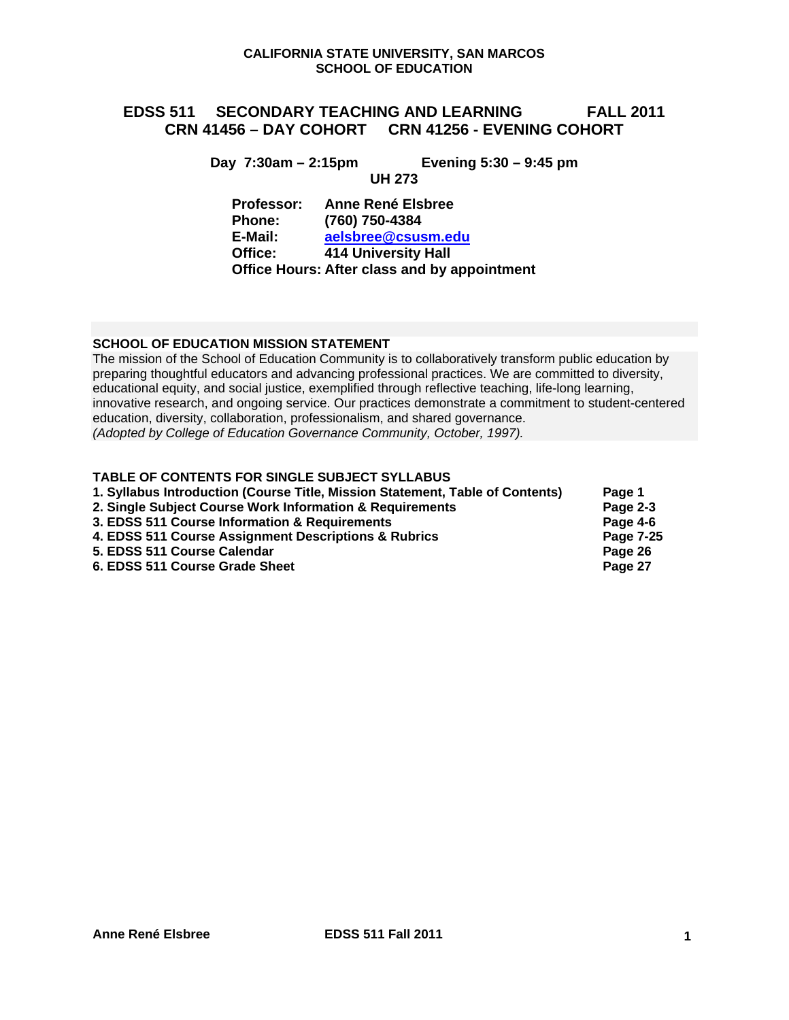# **EDSS 511 SECONDARY TEACHING AND LEARNING FALL 2011 CRN 41456 – DAY COHORT CRN 41256 - EVENING COHORT**

**Day 7:30am – 2:15pm Evening 5:30 – 9:45 pm** 

**UH 273**

aelsbree@csusm.edu **Professor: Anne René Elsbree Phone: (760) 750-4384 E-Mail:** and **addsbree@csusm.edu Coffice:** 414 University Hall **Office: 414** University Hall **Office Hours: After class and by appointment** 

# **SCHOOL OF EDUCATION MISSION STATEMENT**

 education, diversity, collaboration, professionalism, and shared governance. The mission of the School of Education Community is to collaboratively transform public education by preparing thoughtful educators and advancing professional practices. We are committed to diversity, educational equity, and social justice, exemplified through reflective teaching, life-long learning, innovative research, and ongoing service. Our practices demonstrate a commitment to student-centered *(Adopted by College of Education Governance Community, October, 1997).* 

# **TABLE OF CONTENTS FOR SINGLE SUBJECT SYLLABUS**

| 1. Syllabus Introduction (Course Title, Mission Statement, Table of Contents) | Page 1    |
|-------------------------------------------------------------------------------|-----------|
| 2. Single Subject Course Work Information & Requirements                      | Page 2-3  |
| 3. EDSS 511 Course Information & Requirements                                 | Page 4-6  |
| 4. EDSS 511 Course Assignment Descriptions & Rubrics                          | Page 7-25 |
| 5. EDSS 511 Course Calendar                                                   | Page 26   |
| 6. EDSS 511 Course Grade Sheet                                                | Page 27   |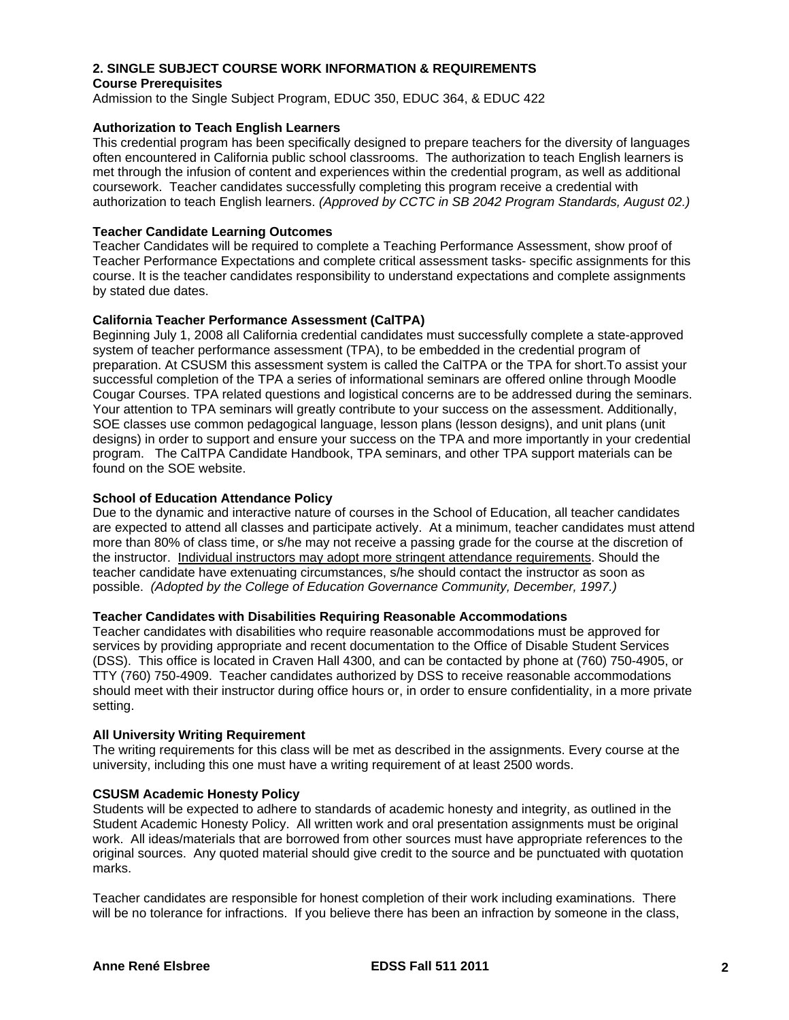# **2. SINGLE SUBJECT COURSE WORK INFORMATION & REQUIREMENTS Course Prerequisites**

Admission to the Single Subject Program, EDUC 350, EDUC 364, & EDUC 422

# **Authorization to Teach English Learners**

This credential program has been specifically designed to prepare teachers for the diversity of languages often encountered in California public school classrooms. The authorization to teach English learners is met through the infusion of content and experiences within the credential program, as well as additional coursework. Teacher candidates successfully completing this program receive a credential with authorization to teach English learners. *(Approved by CCTC in SB 2042 Program Standards, August 02.)* 

# **Teacher Candidate Learning Outcomes**

Teacher Candidates will be required to complete a Teaching Performance Assessment, show proof of Teacher Performance Expectations and complete critical assessment tasks- specific assignments for this course. It is the teacher candidates responsibility to understand expectations and complete assignments by stated due dates.

# **California Teacher Performance Assessment (CalTPA)**

Beginning July 1, 2008 all California credential candidates must successfully complete a state-approved system of teacher performance assessment (TPA), to be embedded in the credential program of preparation. At CSUSM this assessment system is called the CalTPA or the TPA for short.To assist your successful completion of the TPA a series of informational seminars are offered online through Moodle Cougar Courses. TPA related questions and logistical concerns are to be addressed during the seminars. Your attention to TPA seminars will greatly contribute to your success on the assessment. Additionally, SOE classes use common pedagogical language, lesson plans (lesson designs), and unit plans (unit designs) in order to support and ensure your success on the TPA and more importantly in your credential program. The CalTPA Candidate Handbook, TPA seminars, and other TPA support materials can be found on the SOE website.

# **School of Education Attendance Policy**

 possible. *(Adopted by the College of Education Governance Community, December, 1997.)* Due to the dynamic and interactive nature of courses in the School of Education, all teacher candidates are expected to attend all classes and participate actively. At a minimum, teacher candidates must attend more than 80% of class time, or s/he may not receive a passing grade for the course at the discretion of the instructor. Individual instructors may adopt more stringent attendance requirements. Should the teacher candidate have extenuating circumstances, s/he should contact the instructor as soon as

# **Teacher Candidates with Disabilities Requiring Reasonable Accommodations**

Teacher candidates with disabilities who require reasonable accommodations must be approved for services by providing appropriate and recent documentation to the Office of Disable Student Services (DSS). This office is located in Craven Hall 4300, and can be contacted by phone at (760) 750-4905, or TTY (760) 750-4909. Teacher candidates authorized by DSS to receive reasonable accommodations should meet with their instructor during office hours or, in order to ensure confidentiality, in a more private setting.

#### **All University Writing Requirement**

The writing requirements for this class will be met as described in the assignments. Every course at the university, including this one must have a writing requirement of at least 2500 words.

#### **CSUSM Academic Honesty Policy**

Students will be expected to adhere to standards of academic honesty and integrity, as outlined in the Student Academic Honesty Policy. All written work and oral presentation assignments must be original work. All ideas/materials that are borrowed from other sources must have appropriate references to the original sources. Any quoted material should give credit to the source and be punctuated with quotation marks.

Teacher candidates are responsible for honest completion of their work including examinations. There will be no tolerance for infractions. If you believe there has been an infraction by someone in the class,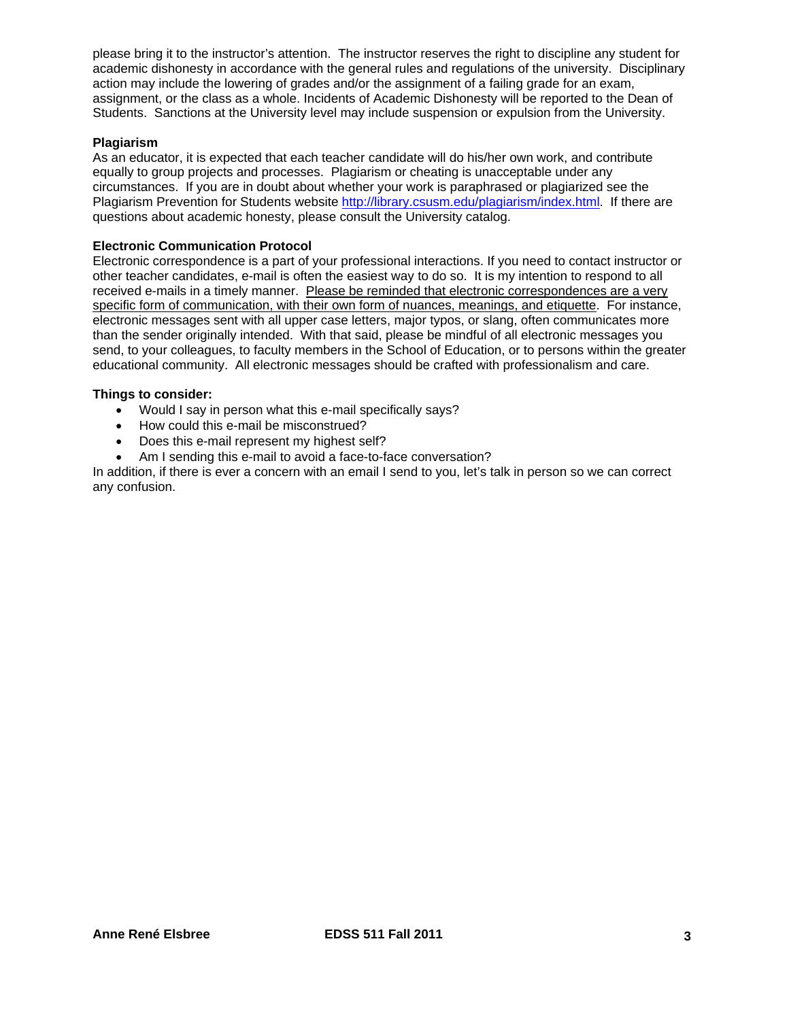please bring it to the instructor's attention. The instructor reserves the right to discipline any student for academic dishonesty in accordance with the general rules and regulations of the university. Disciplinary action may include the lowering of grades and/or the assignment of a failing grade for an exam, assignment, or the class as a whole. Incidents of Academic Dishonesty will be reported to the Dean of Students. Sanctions at the University level may include suspension or expulsion from the University.

# **Plagiarism**

As an educator, it is expected that each teacher candidate will do his/her own work, and contribute equally to group projects and processes. Plagiarism or cheating is unacceptable under any circumstances. If you are in doubt about whether your work is paraphrased or plagiarized see the Plagiarism Prevention for Students website http://library.csusm.edu/plagiarism/index.html. If there are questions about academic honesty, please consult the University catalog.

#### **Electronic Communication Protocol**

Electronic correspondence is a part of your professional interactions. If you need to contact instructor or other teacher candidates, e-mail is often the easiest way to do so. It is my intention to respond to all received e-mails in a timely manner. Please be reminded that electronic correspondences are a very specific form of communication, with their own form of nuances, meanings, and etiquette. For instance, electronic messages sent with all upper case letters, major typos, or slang, often communicates more than the sender originally intended. With that said, please be mindful of all electronic messages you send, to your colleagues, to faculty members in the School of Education, or to persons within the greater educational community. All electronic messages should be crafted with professionalism and care.

#### **Things to consider:**

- Would I say in person what this e-mail specifically says?
- How could this e-mail be misconstrued?
- Does this e-mail represent my highest self?
- Am I sending this e-mail to avoid a face-to-face conversation?

In addition, if there is ever a concern with an email I send to you, let's talk in person so we can correct any confusion.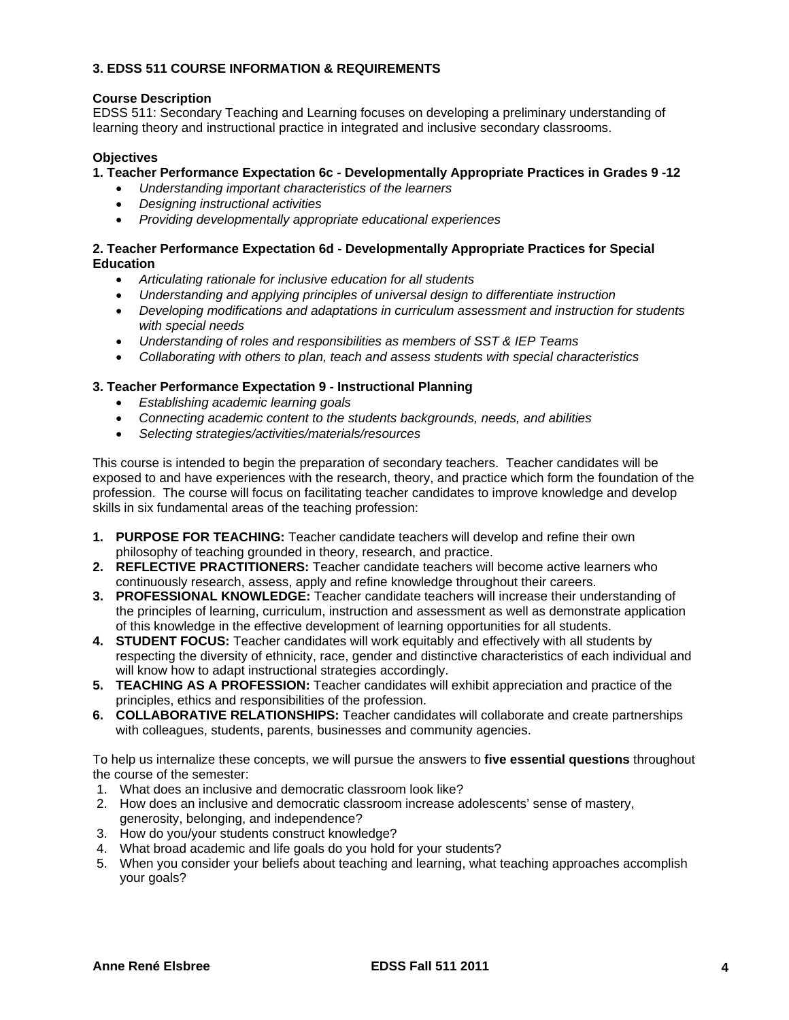# **3. EDSS 511 COURSE INFORMATION & REQUIREMENTS**

# **Course Description**

EDSS 511: Secondary Teaching and Learning focuses on developing a preliminary understanding of learning theory and instructional practice in integrated and inclusive secondary classrooms.

# **Objectives**

### **1. Teacher Performance Expectation 6c - Developmentally Appropriate Practices in Grades 9 -12**

- *Understanding important characteristics of the learners*
- *Designing instructional activities*
- *Providing developmentally appropriate educational experiences*

### **2. Teacher Performance Expectation 6d - Developmentally Appropriate Practices for Special Education**

- *Articulating rationale for inclusive education for all students*
- *Understanding and applying principles of universal design to differentiate instruction*
- *Developing modifications and adaptations in curriculum assessment and instruction for students with special needs*
- *Understanding of roles and responsibilities as members of SST & IEP Teams*
- *Collaborating with others to plan, teach and assess students with special characteristics*

# **3. Teacher Performance Expectation 9 - Instructional Planning**

- *Establishing academic learning goals*
- *Connecting academic content to the students backgrounds, needs, and abilities*
- *Selecting strategies/activities/materials/resources*

This course is intended to begin the preparation of secondary teachers. Teacher candidates will be exposed to and have experiences with the research, theory, and practice which form the foundation of the profession. The course will focus on facilitating teacher candidates to improve knowledge and develop skills in six fundamental areas of the teaching profession:

- **1. PURPOSE FOR TEACHING:** Teacher candidate teachers will develop and refine their own philosophy of teaching grounded in theory, research, and practice.
- **2. REFLECTIVE PRACTITIONERS:** Teacher candidate teachers will become active learners who continuously research, assess, apply and refine knowledge throughout their careers.
- **3. PROFESSIONAL KNOWLEDGE:** Teacher candidate teachers will increase their understanding of the principles of learning, curriculum, instruction and assessment as well as demonstrate application of this knowledge in the effective development of learning opportunities for all students.
- **4. STUDENT FOCUS:** Teacher candidates will work equitably and effectively with all students by respecting the diversity of ethnicity, race, gender and distinctive characteristics of each individual and will know how to adapt instructional strategies accordingly.
- **5. TEACHING AS A PROFESSION:** Teacher candidates will exhibit appreciation and practice of the principles, ethics and responsibilities of the profession.
- **6. COLLABORATIVE RELATIONSHIPS:** Teacher candidates will collaborate and create partnerships with colleagues, students, parents, businesses and community agencies.

To help us internalize these concepts, we will pursue the answers to **five essential questions** throughout the course of the semester:

- 1. What does an inclusive and democratic classroom look like?
- 2. How does an inclusive and democratic classroom increase adolescents' sense of mastery, generosity, belonging, and independence?
- 3. How do you/your students construct knowledge?
- 4. What broad academic and life goals do you hold for your students?
- 5. When you consider your beliefs about teaching and learning, what teaching approaches accomplish your goals?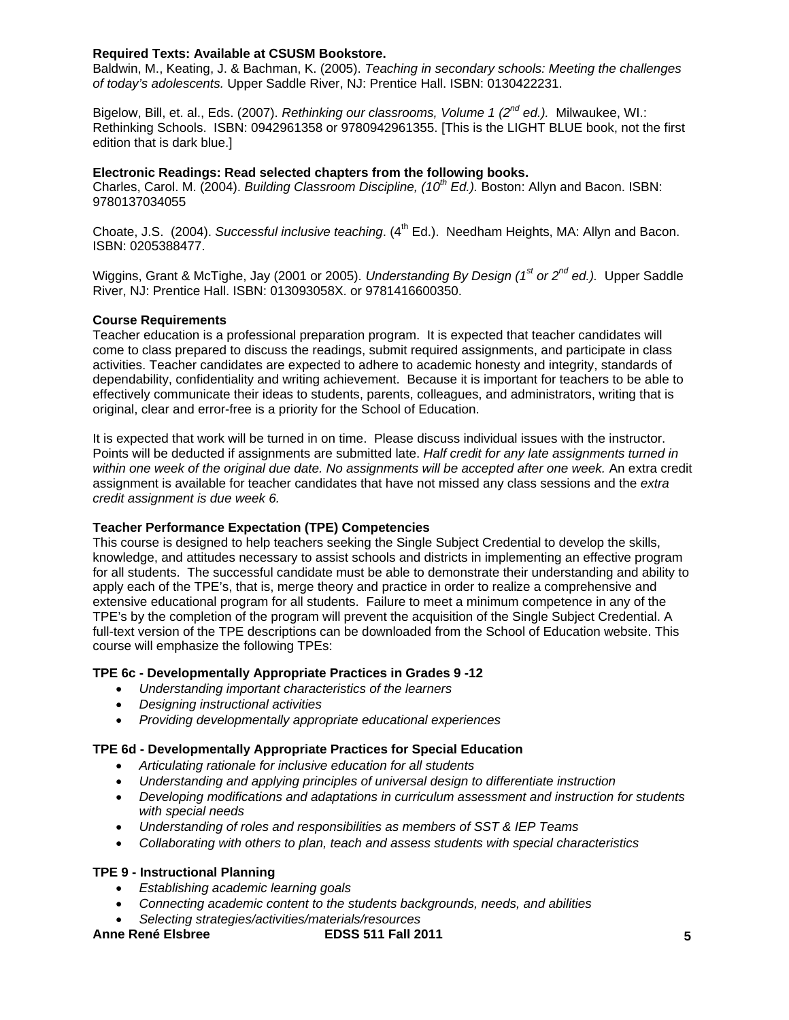# **Required Texts: Available at CSUSM Bookstore.**

Baldwin, M., Keating, J. & Bachman, K. (2005). *Teaching in secondary schools: Meeting the challenges of today's adolescents.* Upper Saddle River, NJ: Prentice Hall. ISBN: 0130422231.

Bigelow, Bill, et. al., Eds. (2007). *Rethinking our classrooms, Volume 1 (2nd ed.).* Milwaukee, WI.: Rethinking Schools. ISBN: 0942961358 or 9780942961355. [This is the LIGHT BLUE book, not the first edition that is dark blue.]

# **Electronic Readings: Read selected chapters from the following books.**

Charles, Carol. M. (2004). *Building Classroom Discipline, (10th Ed.).* Boston: Allyn and Bacon. ISBN: 9780137034055

Choate, J.S. (2004). *Successful inclusive teaching*. (4<sup>th</sup> Ed.). Needham Heights, MA: Allyn and Bacon. ISBN: 0205388477.

Wiggins, Grant & McTighe, Jay (2001 or 2005). *Understanding By Design (1st or 2nd ed.).* Upper Saddle River, NJ: Prentice Hall. ISBN: 013093058X. or 9781416600350.

#### **Course Requirements**

original, clear and error-free is a priority for the School of Education. Teacher education is a professional preparation program. It is expected that teacher candidates will come to class prepared to discuss the readings, submit required assignments, and participate in class activities. Teacher candidates are expected to adhere to academic honesty and integrity, standards of dependability, confidentiality and writing achievement. Because it is important for teachers to be able to effectively communicate their ideas to students, parents, colleagues, and administrators, writing that is

It is expected that work will be turned in on time. Please discuss individual issues with the instructor. Points will be deducted if assignments are submitted late. *Half credit for any late assignments turned in within one week of the original due date. No assignments will be accepted after one week.* An extra credit assignment is available for teacher candidates that have not missed any class sessions and the *extra credit assignment is due week 6.* 

#### **Teacher Performance Expectation (TPE) Competencies**

This course is designed to help teachers seeking the Single Subject Credential to develop the skills, knowledge, and attitudes necessary to assist schools and districts in implementing an effective program for all students. The successful candidate must be able to demonstrate their understanding and ability to apply each of the TPE's, that is, merge theory and practice in order to realize a comprehensive and extensive educational program for all students. Failure to meet a minimum competence in any of the TPE's by the completion of the program will prevent the acquisition of the Single Subject Credential. A full-text version of the TPE descriptions can be downloaded from the School of Education website. This course will emphasize the following TPEs:

#### **TPE 6c - Developmentally Appropriate Practices in Grades 9 -12**

- *Understanding important characteristics of the learners*
- *Designing instructional activities*
- *Providing developmentally appropriate educational experiences*

#### **TPE 6d - Developmentally Appropriate Practices for Special Education**

- *Articulating rationale for inclusive education for all students*
- *Understanding and applying principles of universal design to differentiate instruction*
- *Developing modifications and adaptations in curriculum assessment and instruction for students with special needs*
- *Understanding of roles and responsibilities as members of SST & IEP Teams*
- *Collaborating with others to plan, teach and assess students with special characteristics*

#### **TPE 9 - Instructional Planning**

- *Establishing academic learning goals*
- *Connecting academic content to the students backgrounds, needs, and abilities*
- *Selecting strategies/activities/materials/resources*

Anne René Elsbree **EDSS 511 Fall 2011**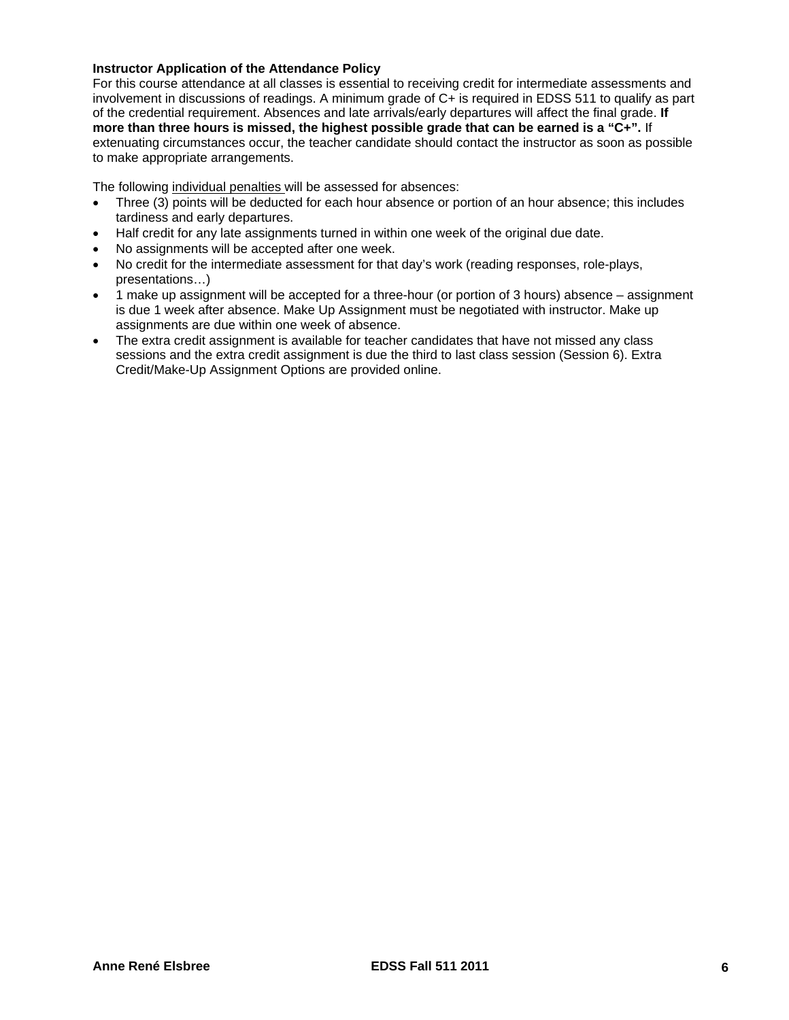### **Instructor Application of the Attendance Policy**

For this course attendance at all classes is essential to receiving credit for intermediate assessments and involvement in discussions of readings. A minimum grade of C+ is required in EDSS 511 to qualify as part of the credential requirement. Absences and late arrivals/early departures will affect the final grade. **If more than three hours is missed, the highest possible grade that can be earned is a "C+".** If extenuating circumstances occur, the teacher candidate should contact the instructor as soon as possible to make appropriate arrangements.

The following individual penalties will be assessed for absences:

- Three (3) points will be deducted for each hour absence or portion of an hour absence; this includes tardiness and early departures.
- Half credit for any late assignments turned in within one week of the original due date.
- No assignments will be accepted after one week.
- No credit for the intermediate assessment for that day's work (reading responses, role-plays, presentations…)
- 1 make up assignment will be accepted for a three-hour (or portion of 3 hours) absence assignment is due 1 week after absence. Make Up Assignment must be negotiated with instructor. Make up assignments are due within one week of absence.
- The extra credit assignment is available for teacher candidates that have not missed any class sessions and the extra credit assignment is due the third to last class session (Session 6). Extra Credit/Make-Up Assignment Options are provided online.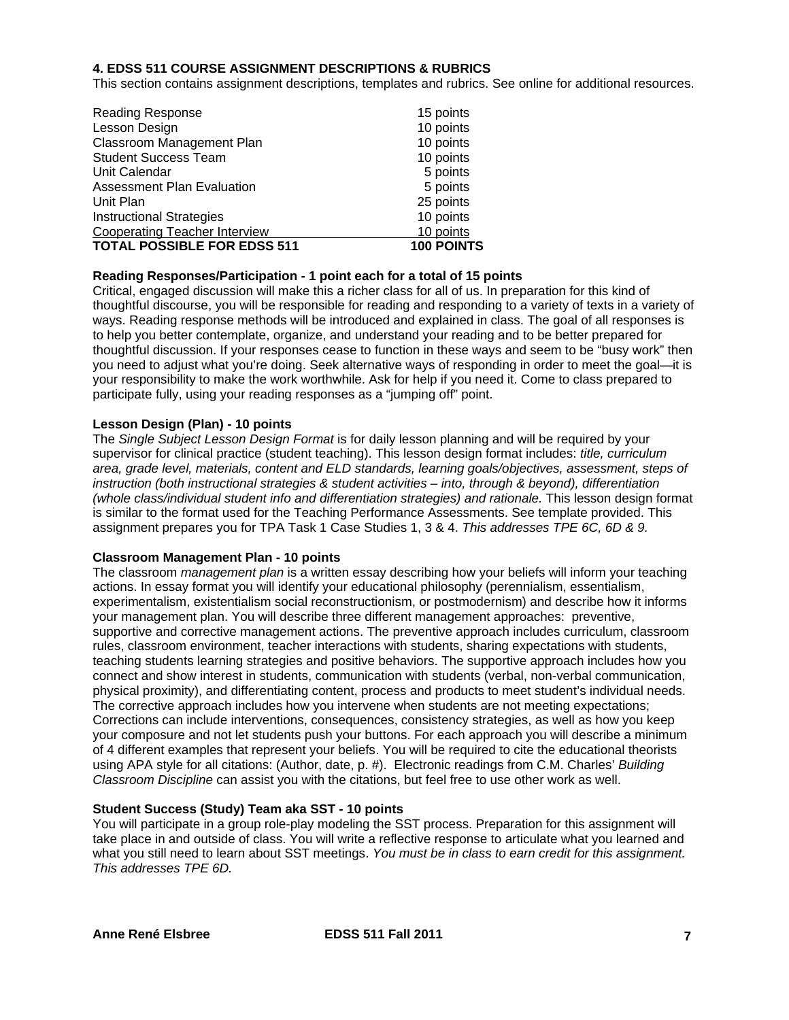### **4. EDSS 511 COURSE ASSIGNMENT DESCRIPTIONS & RUBRICS**

This section contains assignment descriptions, templates and rubrics. See online for additional resources.

| <b>Reading Response</b>              | 15 points         |
|--------------------------------------|-------------------|
| Lesson Design                        | 10 points         |
| Classroom Management Plan            | 10 points         |
| <b>Student Success Team</b>          | 10 points         |
| Unit Calendar                        | 5 points          |
| <b>Assessment Plan Evaluation</b>    | 5 points          |
| Unit Plan                            | 25 points         |
| <b>Instructional Strategies</b>      | 10 points         |
| <b>Cooperating Teacher Interview</b> | 10 points         |
| <b>TOTAL POSSIBLE FOR EDSS 511</b>   | <b>100 POINTS</b> |

# **Reading Responses/Participation - 1 point each for a total of 15 points**

Critical, engaged discussion will make this a richer class for all of us. In preparation for this kind of thoughtful discourse, you will be responsible for reading and responding to a variety of texts in a variety of ways. Reading response methods will be introduced and explained in class. The goal of all responses is to help you better contemplate, organize, and understand your reading and to be better prepared for thoughtful discussion. If your responses cease to function in these ways and seem to be "busy work" then you need to adjust what you're doing. Seek alternative ways of responding in order to meet the goal—it is your responsibility to make the work worthwhile. Ask for help if you need it. Come to class prepared to participate fully, using your reading responses as a "jumping off" point.

#### **Lesson Design (Plan) - 10 points**

The *Single Subject Lesson Design Format* is for daily lesson planning and will be required by your supervisor for clinical practice (student teaching). This lesson design format includes: *title, curriculum area, grade level, materials, content and ELD standards, learning goals/objectives, assessment, steps of instruction (both instructional strategies & student activities – into, through & beyond), differentiation (whole class/individual student info and differentiation strategies) and rationale.* This lesson design format is similar to the format used for the Teaching Performance Assessments. See template provided. This assignment prepares you for TPA Task 1 Case Studies 1, 3 & 4. *This addresses TPE 6C, 6D & 9.* 

#### **Classroom Management Plan - 10 points**

The classroom *management plan* is a written essay describing how your beliefs will inform your teaching actions. In essay format you will identify your educational philosophy (perennialism, essentialism, experimentalism, existentialism social reconstructionism, or postmodernism) and describe how it informs your management plan. You will describe three different management approaches: preventive, supportive and corrective management actions. The preventive approach includes curriculum, classroom rules, classroom environment, teacher interactions with students, sharing expectations with students, teaching students learning strategies and positive behaviors. The supportive approach includes how you connect and show interest in students, communication with students (verbal, non-verbal communication, physical proximity), and differentiating content, process and products to meet student's individual needs. The corrective approach includes how you intervene when students are not meeting expectations; Corrections can include interventions, consequences, consistency strategies, as well as how you keep your composure and not let students push your buttons. For each approach you will describe a minimum of 4 different examples that represent your beliefs. You will be required to cite the educational theorists using APA style for all citations: (Author, date, p. #). Electronic readings from C.M. Charles' *Building Classroom Discipline* can assist you with the citations, but feel free to use other work as well.

#### **Student Success (Study) Team aka SST - 10 points**

You will participate in a group role-play modeling the SST process. Preparation for this assignment will take place in and outside of class. You will write a reflective response to articulate what you learned and what you still need to learn about SST meetings. *You must be in class to earn credit for this assignment. This addresses TPE 6D.*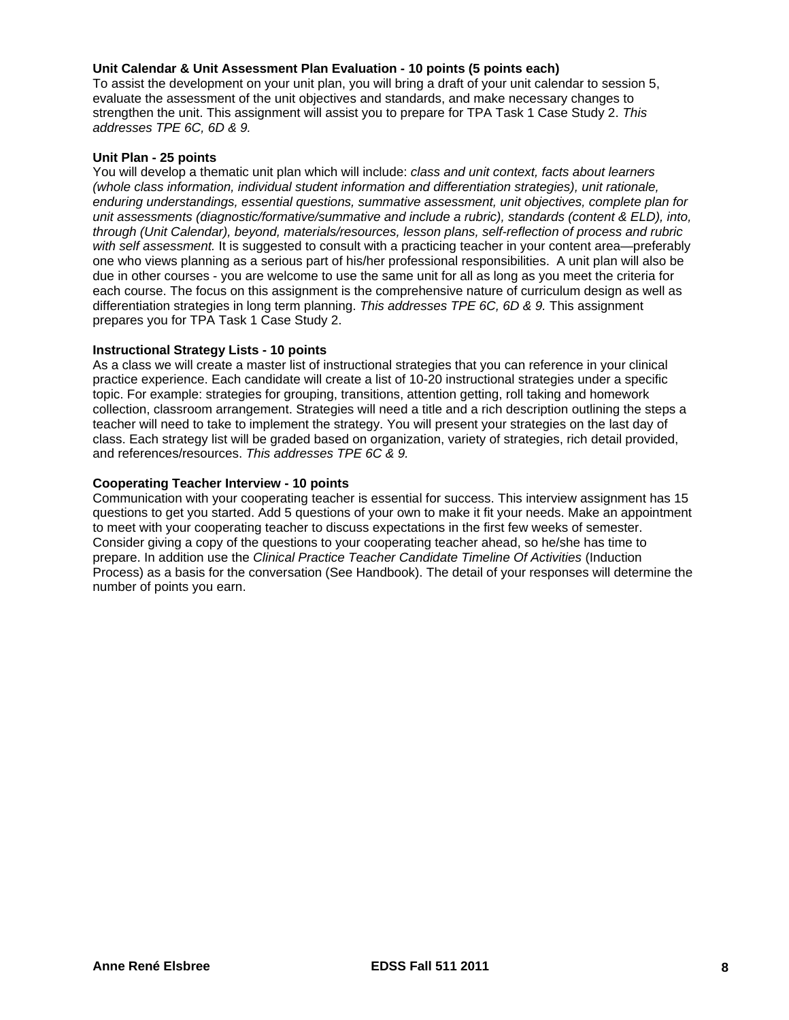### **Unit Calendar & Unit Assessment Plan Evaluation - 10 points (5 points each)**

To assist the development on your unit plan, you will bring a draft of your unit calendar to session 5, evaluate the assessment of the unit objectives and standards, and make necessary changes to strengthen the unit. This assignment will assist you to prepare for TPA Task 1 Case Study 2. *This addresses TPE 6C, 6D & 9.* 

#### **Unit Plan - 25 points**

You will develop a thematic unit plan which will include: *class and unit context, facts about learners (whole class information, individual student information and differentiation strategies), unit rationale, enduring understandings, essential questions, summative assessment, unit objectives, complete plan for unit assessments (diagnostic/formative/summative and include a rubric), standards (content & ELD), into, through (Unit Calendar), beyond, materials/resources, lesson plans, self-reflection of process and rubric with self assessment.* It is suggested to consult with a practicing teacher in your content area—preferably one who views planning as a serious part of his/her professional responsibilities. A unit plan will also be due in other courses - you are welcome to use the same unit for all as long as you meet the criteria for each course. The focus on this assignment is the comprehensive nature of curriculum design as well as differentiation strategies in long term planning. *This addresses TPE 6C, 6D & 9.* This assignment prepares you for TPA Task 1 Case Study 2.

#### **Instructional Strategy Lists - 10 points**

As a class we will create a master list of instructional strategies that you can reference in your clinical practice experience. Each candidate will create a list of 10-20 instructional strategies under a specific topic. For example: strategies for grouping, transitions, attention getting, roll taking and homework collection, classroom arrangement. Strategies will need a title and a rich description outlining the steps a teacher will need to take to implement the strategy. You will present your strategies on the last day of class. Each strategy list will be graded based on organization, variety of strategies, rich detail provided, and references/resources. *This addresses TPE 6C & 9.* 

#### **Cooperating Teacher Interview - 10 points**

Communication with your cooperating teacher is essential for success. This interview assignment has 15 questions to get you started. Add 5 questions of your own to make it fit your needs. Make an appointment to meet with your cooperating teacher to discuss expectations in the first few weeks of semester. Consider giving a copy of the questions to your cooperating teacher ahead, so he/she has time to prepare. In addition use the *Clinical Practice Teacher Candidate Timeline Of Activities* (Induction Process) as a basis for the conversation (See Handbook). The detail of your responses will determine the number of points you earn.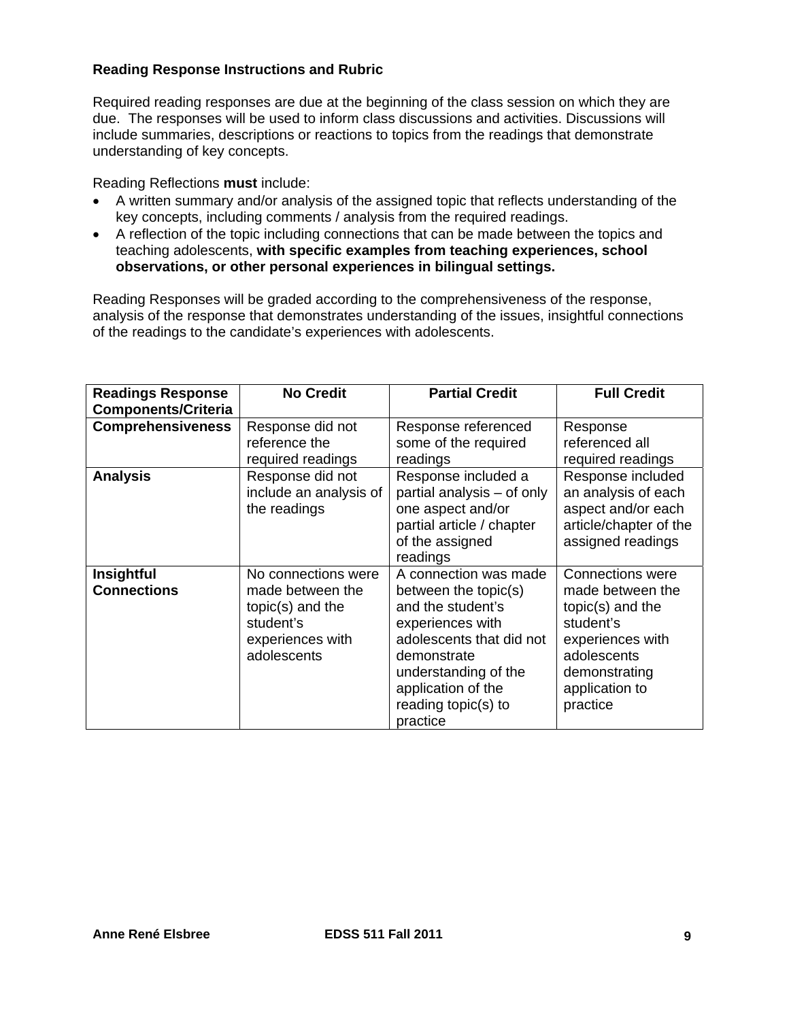# **Reading Response Instructions and Rubric**

Required reading responses are due at the beginning of the class session on which they are due. The responses will be used to inform class discussions and activities. Discussions will include summaries, descriptions or reactions to topics from the readings that demonstrate understanding of key concepts.

Reading Reflections **must** include:

- key concepts, including comments / analysis from the required readings. A written summary and/or analysis of the assigned topic that reflects understanding of the
- A reflection of the topic including connections that can be made between the topics and teaching adolescents, **with specific examples from teaching experiences, school observations, or other personal experiences in bilingual settings.**

Reading Responses will be graded according to the comprehensiveness of the response, analysis of the response that demonstrates understanding of the issues, insightful connections of the readings to the candidate's experiences with adolescents.

| <b>Readings Response</b><br><b>Components/Criteria</b> | <b>No Credit</b>                                                                                              | <b>Partial Credit</b>                                                                                                                                                                                              | <b>Full Credit</b>                                                                                                                                        |
|--------------------------------------------------------|---------------------------------------------------------------------------------------------------------------|--------------------------------------------------------------------------------------------------------------------------------------------------------------------------------------------------------------------|-----------------------------------------------------------------------------------------------------------------------------------------------------------|
| <b>Comprehensiveness</b>                               | Response did not<br>reference the<br>required readings                                                        | Response referenced<br>some of the required<br>readings                                                                                                                                                            | Response<br>referenced all<br>required readings                                                                                                           |
| <b>Analysis</b>                                        | Response did not<br>include an analysis of<br>the readings                                                    | Response included a<br>partial analysis - of only<br>one aspect and/or<br>partial article / chapter<br>of the assigned<br>readings                                                                                 | Response included<br>an analysis of each<br>aspect and/or each<br>article/chapter of the<br>assigned readings                                             |
| <b>Insightful</b><br><b>Connections</b>                | No connections were<br>made between the<br>$topic(s)$ and the<br>student's<br>experiences with<br>adolescents | A connection was made<br>between the topic(s)<br>and the student's<br>experiences with<br>adolescents that did not<br>demonstrate<br>understanding of the<br>application of the<br>reading topic(s) to<br>practice | Connections were<br>made between the<br>$topic(s)$ and the<br>student's<br>experiences with<br>adolescents<br>demonstrating<br>application to<br>practice |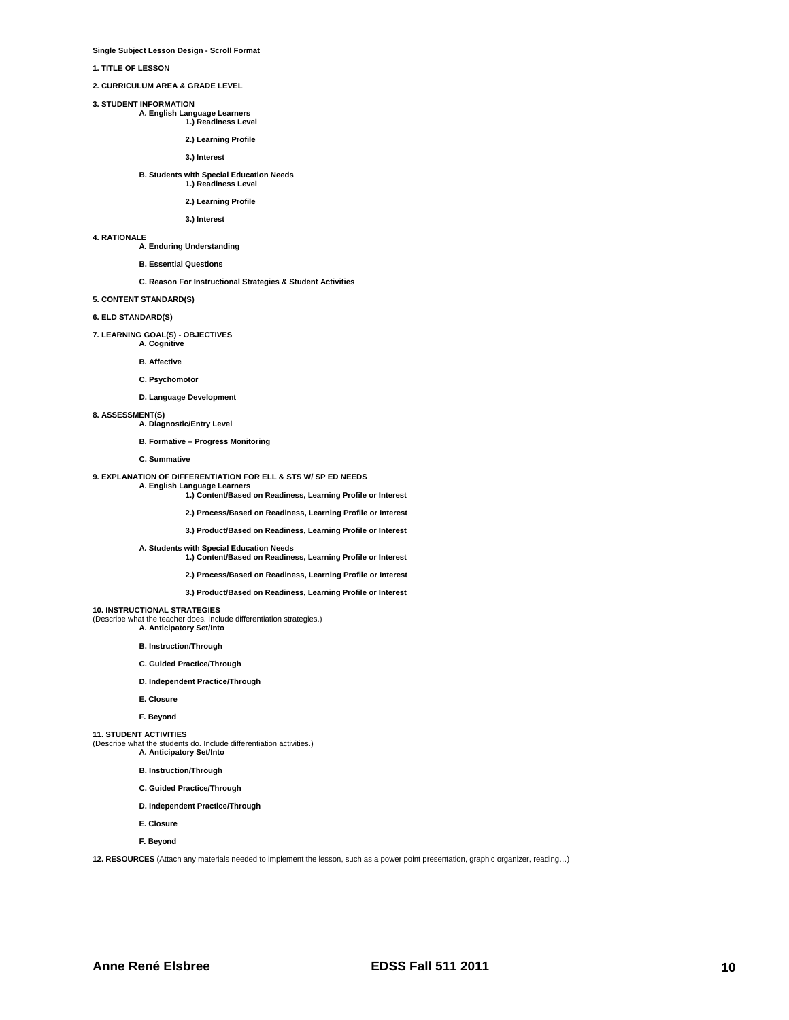**Single Subject Lesson Design - Scroll Format** 

**1. TITLE OF LESSON** 

**2. CURRICULUM AREA & GRADE LEVEL** 

**3. STUDENT INFORMATION** 

 **A. English Language Learners 1.) Readiness Level** 

**2.) Learning Profile**

**3.) Interest**

# **B. Students with Special Education Needs 1.) Readiness Level**

# **2.) Learning Profile**

**3.) Interest**

# **4. RATIONALE**

**A. Enduring Understanding** 

#### **B. Essential Questions**

#### **C. Reason For Instructional Strategies & Student Activities**

**5. CONTENT STANDARD(S)** 

# **6. ELD STANDARD(S)**

**7. LEARNING GOAL(S) - OBJECTIVES A. Cognitive** 

**B. Affective** 

# **C. Psychomotor**

**D. Language Development** 

# **8. ASSESSMENT(S)**

**A. Diagnostic/Entry Level** 

#### **B. Formative – Progress Monitoring**

**C. Summative** 

# **9. EXPLANATION OF DIFFERENTIATION FOR ELL & STS W/ SP ED NEEDS**

**A. English Language Learners 1.) Content/Based on Readiness, Learning Profile or Interest**

**2.) Process/Based on Readiness, Learning Profile or Interest** 

**3.) Product/Based on Readiness, Learning Profile or Interest** 

 **A. Students with Special Education Needs 1.) Content/Based on Readiness, Learning Profile or Interest**

**2.) Process/Based on Readiness, Learning Profile or Interest** 

**3.) Product/Based on Readiness, Learning Profile or Interest** 

# **10. INSTRUCTIONAL STRATEGIES**

**10. INSTRUCTIONAL STRATEGIES** (Describe what the teacher does. Include differentiation strategies.) **A. Anticipatory Set/Into** 

- **B. Instruction/Through**
- **C. Guided Practice/Through**
- **D. Independent Practice/Through**
- **E. Closure**
- **F. Beyond**

# **11. STUDENT ACTIVITIES**

(Describe what the students do. Include differentiation activities.) **A. Anticipatory Set/Into** 

- **B. Instruction/Through**
- **C. Guided Practice/Through**
- **D. Independent Practice/Through**
- **E. Closure**
- **F. Beyond**

**12. RESOURCES** (Attach any materials needed to implement the lesson, such as a power point presentation, graphic organizer, reading…)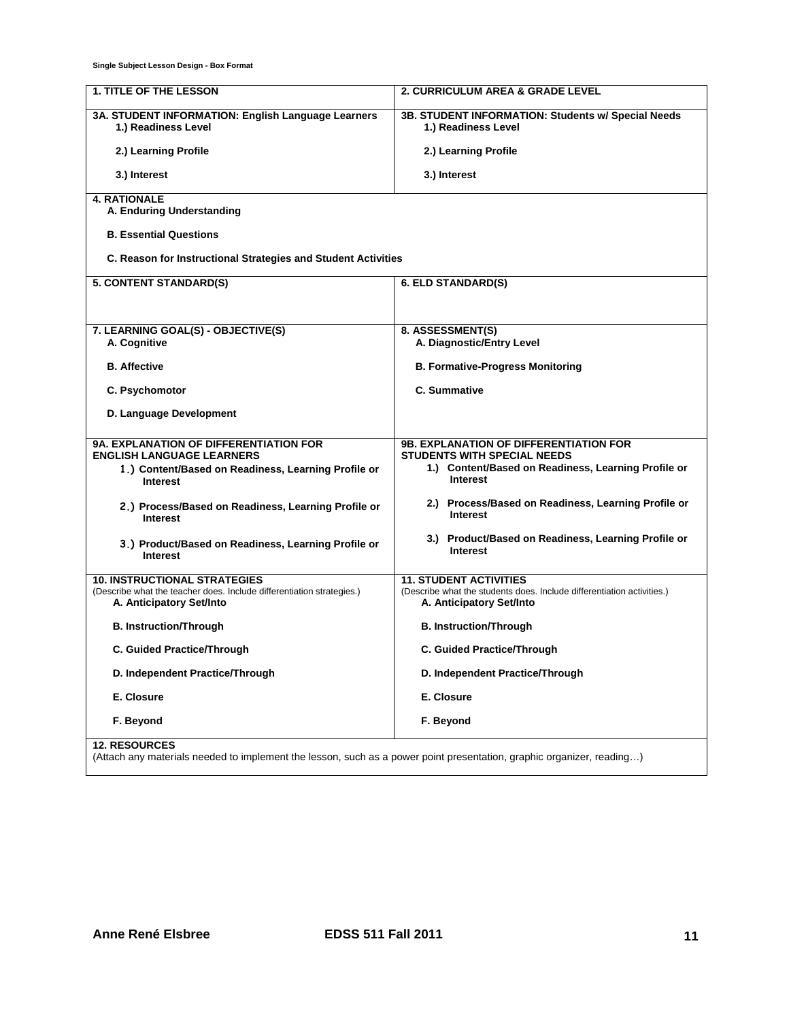**Single Subject Lesson Design - Box Format** 

| <b>1. TITLE OF THE LESSON</b>                                                                     | 2. CURRICULUM AREA & GRADE LEVEL                                                                   |
|---------------------------------------------------------------------------------------------------|----------------------------------------------------------------------------------------------------|
| 3A. STUDENT INFORMATION: English Language Learners                                                | 3B. STUDENT INFORMATION: Students w/ Special Needs                                                 |
| 1.) Readiness Level                                                                               | 1.) Readiness Level                                                                                |
| 2.) Learning Profile                                                                              | 2.) Learning Profile                                                                               |
| 3.) Interest                                                                                      | 3.) Interest                                                                                       |
| <b>4. RATIONALE</b><br>A. Enduring Understanding                                                  |                                                                                                    |
| <b>B. Essential Questions</b>                                                                     |                                                                                                    |
|                                                                                                   |                                                                                                    |
| C. Reason for Instructional Strategies and Student Activities                                     |                                                                                                    |
| 5. CONTENT STANDARD(S)                                                                            | 6. ELD STANDARD(S)                                                                                 |
|                                                                                                   |                                                                                                    |
| 7. LEARNING GOAL(S) - OBJECTIVE(S)                                                                | 8. ASSESSMENT(S)                                                                                   |
| A. Cognitive                                                                                      | A. Diagnostic/Entry Level                                                                          |
| <b>B.</b> Affective                                                                               | <b>B. Formative-Progress Monitoring</b>                                                            |
| C. Psychomotor                                                                                    | <b>C. Summative</b>                                                                                |
| D. Language Development                                                                           |                                                                                                    |
|                                                                                                   |                                                                                                    |
| <b>9A. EXPLANATION OF DIFFERENTIATION FOR</b><br><b>ENGLISH LANGUAGE LEARNERS</b>                 | <b>9B. EXPLANATION OF DIFFERENTIATION FOR</b><br><b>STUDENTS WITH SPECIAL NEEDS</b>                |
| 1.) Content/Based on Readiness, Learning Profile or<br><b>Interest</b>                            | 1.) Content/Based on Readiness, Learning Profile or<br>Interest                                    |
| 2.) Process/Based on Readiness, Learning Profile or<br><b>Interest</b>                            | 2.) Process/Based on Readiness, Learning Profile or<br><b>Interest</b>                             |
| 3.) Product/Based on Readiness, Learning Profile or<br><b>Interest</b>                            | 3.) Product/Based on Readiness, Learning Profile or<br><b>Interest</b>                             |
| <b>10. INSTRUCTIONAL STRATEGIES</b>                                                               | <b>11. STUDENT ACTIVITIES</b>                                                                      |
| (Describe what the teacher does. Include differentiation strategies.)<br>A. Anticipatory Set/Into | (Describe what the students does. Include differentiation activities.)<br>A. Anticipatory Set/Into |
| <b>B. Instruction/Through</b>                                                                     | <b>B. Instruction/Through</b>                                                                      |
| C. Guided Practice/Through                                                                        | <b>C. Guided Practice/Through</b>                                                                  |
| D. Independent Practice/Through                                                                   | D. Independent Practice/Through                                                                    |
| E. Closure                                                                                        | E. Closure                                                                                         |
| F. Beyond                                                                                         | F. Beyond                                                                                          |
| <b>12. RESOURCES</b>                                                                              |                                                                                                    |

(Attach any materials needed to implement the lesson, such as a power point presentation, graphic organizer, reading…)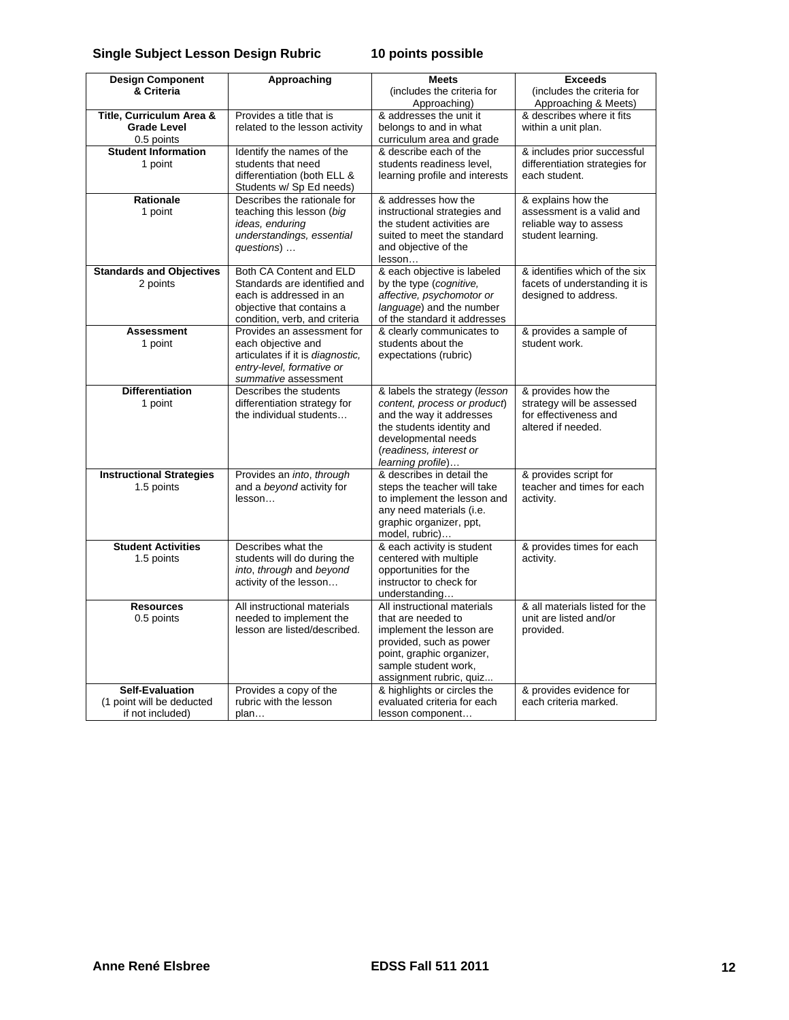#### **Single Subject Lesson Design Rubric 10 points possible**

| <b>Design Component</b>                       | Approaching                                      | <b>Meets</b>                   | <b>Exceeds</b>                                   |
|-----------------------------------------------|--------------------------------------------------|--------------------------------|--------------------------------------------------|
| & Criteria                                    |                                                  | (includes the criteria for     | (includes the criteria for                       |
|                                               |                                                  | Approaching)                   | Approaching & Meets)                             |
| Title, Curriculum Area &                      | Provides a title that is                         | & addresses the unit it        | & describes where it fits                        |
| <b>Grade Level</b>                            | related to the lesson activity                   | belongs to and in what         | within a unit plan.                              |
| 0.5 points                                    |                                                  | curriculum area and grade      |                                                  |
| <b>Student Information</b>                    | Identify the names of the                        | & describe each of the         | & includes prior successful                      |
| 1 point                                       | students that need                               | students readiness level,      | differentiation strategies for                   |
|                                               | differentiation (both ELL &                      | learning profile and interests | each student.                                    |
|                                               | Students w/ Sp Ed needs)                         |                                |                                                  |
| Rationale                                     | Describes the rationale for                      | & addresses how the            | & explains how the                               |
| 1 point                                       | teaching this lesson (big                        | instructional strategies and   | assessment is a valid and                        |
|                                               | ideas, enduring                                  | the student activities are     | reliable way to assess                           |
|                                               | understandings, essential                        | suited to meet the standard    | student learning.                                |
|                                               | questions)                                       | and objective of the           |                                                  |
|                                               |                                                  | lesson                         |                                                  |
| <b>Standards and Objectives</b>               | Both CA Content and ELD                          | & each objective is labeled    | & identifies which of the six                    |
| 2 points                                      | Standards are identified and                     | by the type (cognitive,        | facets of understanding it is                    |
|                                               | each is addressed in an                          | affective, psychomotor or      | designed to address.                             |
|                                               | objective that contains a                        | language) and the number       |                                                  |
|                                               | condition, verb, and criteria                    | of the standard it addresses   |                                                  |
| <b>Assessment</b>                             | Provides an assessment for                       | & clearly communicates to      | & provides a sample of                           |
| 1 point                                       | each objective and                               | students about the             | student work.                                    |
|                                               | articulates if it is diagnostic,                 | expectations (rubric)          |                                                  |
|                                               | entry-level, formative or                        |                                |                                                  |
|                                               | summative assessment                             |                                |                                                  |
| <b>Differentiation</b>                        | Describes the students                           | & labels the strategy (lesson  | & provides how the                               |
| 1 point                                       | differentiation strategy for                     | content, process or product)   | strategy will be assessed                        |
|                                               | the individual students                          | and the way it addresses       | for effectiveness and                            |
|                                               |                                                  | the students identity and      | altered if needed.                               |
|                                               |                                                  | developmental needs            |                                                  |
|                                               |                                                  | (readiness, interest or        |                                                  |
|                                               |                                                  | learning profile)              |                                                  |
| <b>Instructional Strategies</b>               | Provides an into, through                        | & describes in detail the      | & provides script for                            |
| 1.5 points                                    | and a beyond activity for                        | steps the teacher will take    | teacher and times for each                       |
|                                               | lesson                                           | to implement the lesson and    | activity.                                        |
|                                               |                                                  | any need materials (i.e.       |                                                  |
|                                               |                                                  | graphic organizer, ppt,        |                                                  |
|                                               |                                                  | model, rubric)                 |                                                  |
| <b>Student Activities</b>                     | Describes what the                               | & each activity is student     | & provides times for each                        |
| 1.5 points                                    | students will do during the                      | centered with multiple         | activity.                                        |
|                                               | into, through and beyond                         | opportunities for the          |                                                  |
|                                               | activity of the lesson                           | instructor to check for        |                                                  |
|                                               |                                                  | understanding                  |                                                  |
| <b>Resources</b>                              | All instructional materials                      | All instructional materials    | & all materials listed for the                   |
| 0.5 points                                    | needed to implement the                          | that are needed to             | unit are listed and/or                           |
|                                               | lesson are listed/described.                     | implement the lesson are       | provided.                                        |
|                                               |                                                  | provided, such as power        |                                                  |
|                                               |                                                  | point, graphic organizer,      |                                                  |
|                                               |                                                  | sample student work,           |                                                  |
|                                               |                                                  | assignment rubric, quiz        |                                                  |
| <b>Self-Evaluation</b>                        | Provides a copy of the<br>rubric with the lesson | & highlights or circles the    | & provides evidence for<br>each criteria marked. |
| (1 point will be deducted<br>if not included) |                                                  | evaluated criteria for each    |                                                  |
|                                               | plan                                             | lesson component               |                                                  |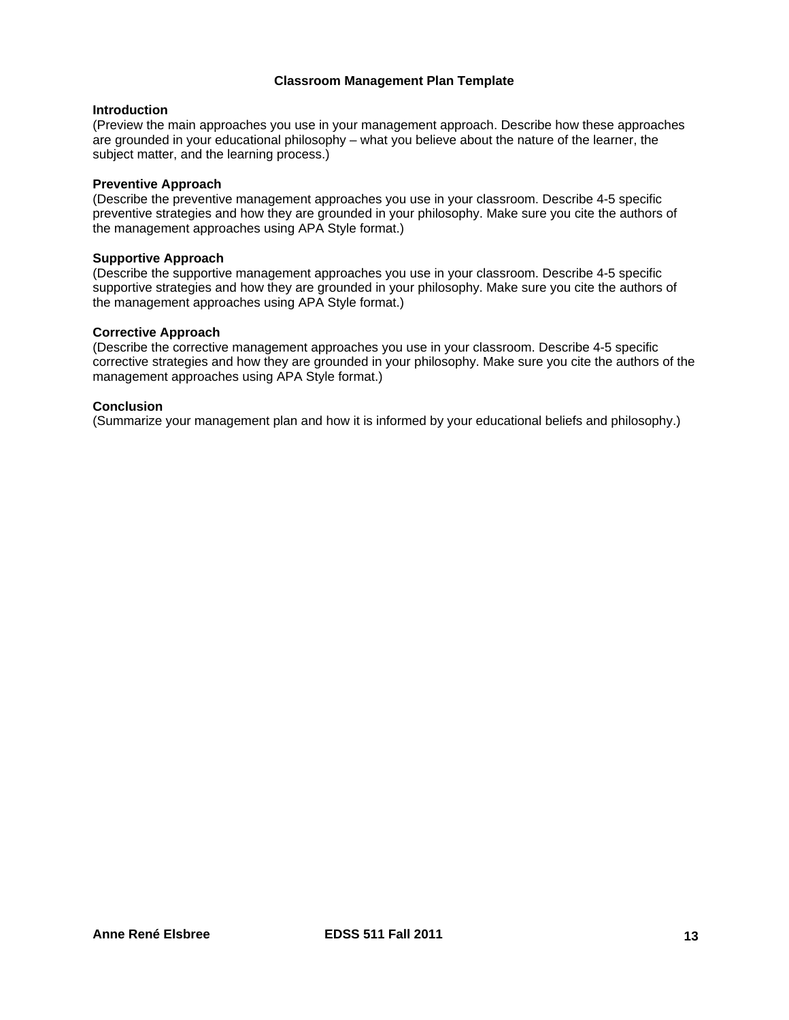### **Classroom Management Plan Template**

#### **Introduction**

(Preview the main approaches you use in your management approach. Describe how these approaches are grounded in your educational philosophy – what you believe about the nature of the learner, the subject matter, and the learning process.)

#### **Preventive Approach**

(Describe the preventive management approaches you use in your classroom. Describe 4-5 specific preventive strategies and how they are grounded in your philosophy. Make sure you cite the authors of the management approaches using APA Style format.)

#### **Supportive Approach**

(Describe the supportive management approaches you use in your classroom. Describe 4-5 specific supportive strategies and how they are grounded in your philosophy. Make sure you cite the authors of the management approaches using APA Style format.)

# **Corrective Approach**

(Describe the corrective management approaches you use in your classroom. Describe 4-5 specific corrective strategies and how they are grounded in your philosophy. Make sure you cite the authors of the management approaches using APA Style format.)

# **Conclusion**

(Summarize your management plan and how it is informed by your educational beliefs and philosophy.)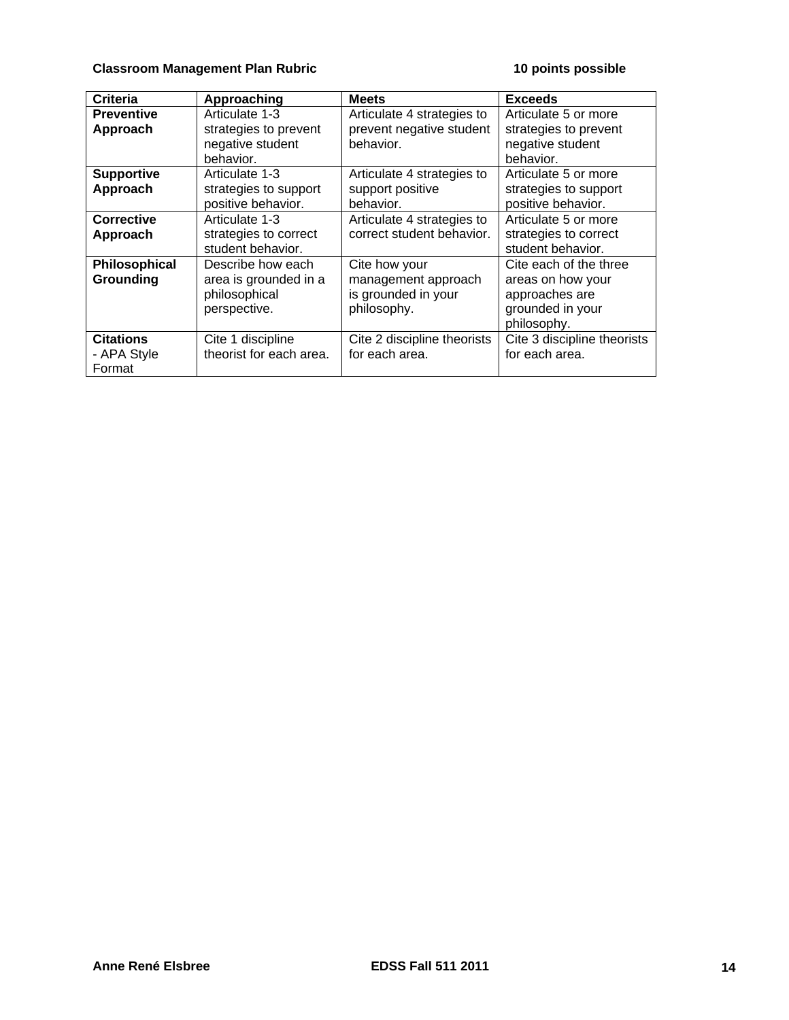# **Classroom Management Plan Rubric 10 points possible 10 points possible**

| Criteria          | Approaching             | <b>Meets</b>                | <b>Exceeds</b>              |
|-------------------|-------------------------|-----------------------------|-----------------------------|
| <b>Preventive</b> | Articulate 1-3          | Articulate 4 strategies to  | Articulate 5 or more        |
| Approach          | strategies to prevent   | prevent negative student    | strategies to prevent       |
|                   | negative student        | behavior.                   | negative student            |
|                   | behavior.               |                             | behavior.                   |
| <b>Supportive</b> | Articulate 1-3          | Articulate 4 strategies to  | Articulate 5 or more        |
| Approach          | strategies to support   | support positive            | strategies to support       |
|                   | positive behavior.      | behavior.                   | positive behavior.          |
| <b>Corrective</b> | Articulate 1-3          | Articulate 4 strategies to  | Articulate 5 or more        |
| Approach          | strategies to correct   | correct student behavior.   | strategies to correct       |
|                   | student behavior.       |                             | student behavior.           |
| Philosophical     | Describe how each       | Cite how your               | Cite each of the three      |
| Grounding         | area is grounded in a   | management approach         | areas on how your           |
|                   | philosophical           | is grounded in your         | approaches are              |
|                   | perspective.            | philosophy.                 | grounded in your            |
|                   |                         |                             | philosophy.                 |
| <b>Citations</b>  | Cite 1 discipline       | Cite 2 discipline theorists | Cite 3 discipline theorists |
| - APA Style       | theorist for each area. | for each area.              | for each area.              |
| Format            |                         |                             |                             |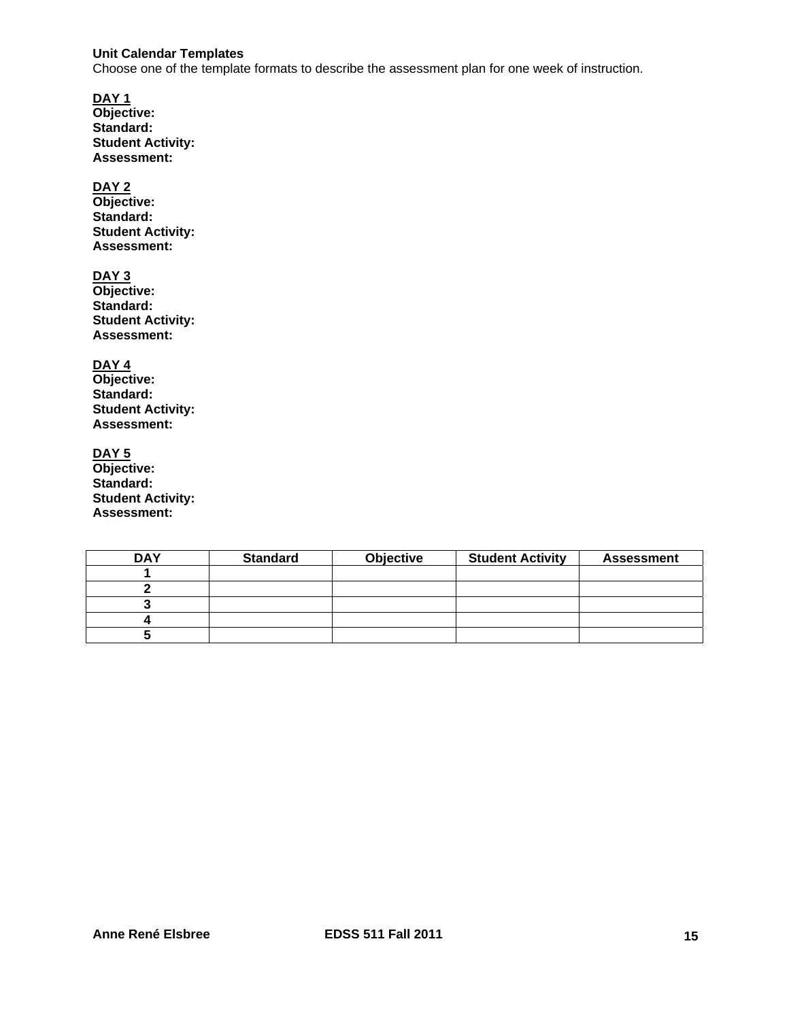### **Unit Calendar Templates**

Choose one of the template formats to describe the assessment plan for one week of instruction.

**DAY 1 Objective: Standard: Student Activity: Assessment:** 

# **DAY 2**

**Objective: Standard: Student Activity: Assessment:** 

# **DAY 3**

**Objective: Standard: Student Activity: Assessment:** 

**DAY 4** 

**Objective: Standard: Student Activity: Assessment:** 

**DAY 5 Objective: Standard: Student Activity: Assessment:** 

| <b>DAY</b> | <b>Standard</b> | <b>Objective</b> | <b>Student Activity</b> | <b>Assessment</b> |
|------------|-----------------|------------------|-------------------------|-------------------|
|            |                 |                  |                         |                   |
|            |                 |                  |                         |                   |
|            |                 |                  |                         |                   |
|            |                 |                  |                         |                   |
|            |                 |                  |                         |                   |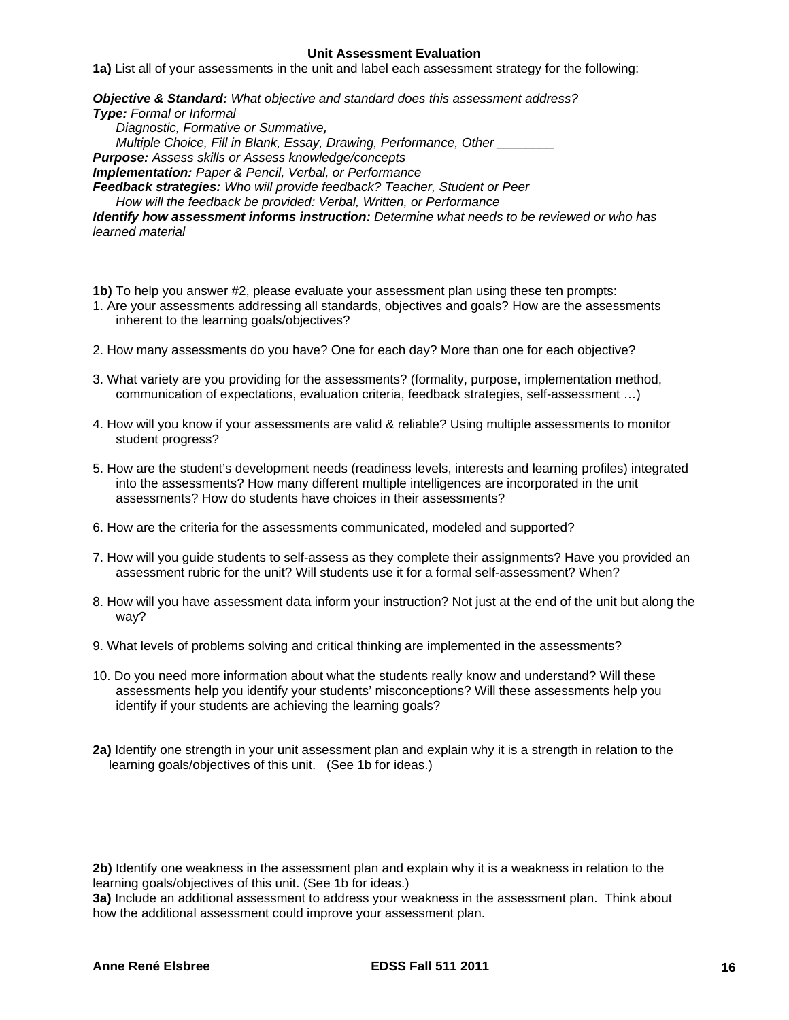#### **Unit Assessment Evaluation**

**1a)** List all of your assessments in the unit and label each assessment strategy for the following:

*Objective & Standard: What objective and standard does this assessment address?* 

*Type: Formal or Informal* 

*Diagnostic, Formative or Summative, Multiple Choice, Fill in Blank, Essay, Drawing, Performance, Other \_\_\_\_\_\_\_\_ Purpose: Assess skills or Assess knowledge/concepts Implementation: Paper & Pencil, Verbal, or Performance Feedback strategies: Who will provide feedback? Teacher, Student or Peer How will the feedback be provided: Verbal, Written, or Performance* 

*Identify how assessment informs instruction: Determine what needs to be reviewed or who has learned material* 

- **1b)** To help you answer #2, please evaluate your assessment plan using these ten prompts:
- 1. Are your assessments addressing all standards, objectives and goals? How are the assessments inherent to the learning goals/objectives?
- 2. How many assessments do you have? One for each day? More than one for each objective?
- 3. What variety are you providing for the assessments? (formality, purpose, implementation method, communication of expectations, evaluation criteria, feedback strategies, self-assessment …)
- 4. How will you know if your assessments are valid & reliable? Using multiple assessments to monitor student progress?
- 5. How are the student's development needs (readiness levels, interests and learning profiles) integrated into the assessments? How many different multiple intelligences are incorporated in the unit assessments? How do students have choices in their assessments?
- 6. How are the criteria for the assessments communicated, modeled and supported?
- 7. How will you guide students to self-assess as they complete their assignments? Have you provided an assessment rubric for the unit? Will students use it for a formal self-assessment? When?
- wav? 8. How will you have assessment data inform your instruction? Not just at the end of the unit but along the
- 9. What levels of problems solving and critical thinking are implemented in the assessments?
- 10. Do you need more information about what the students really know and understand? Will these assessments help you identify your students' misconceptions? Will these assessments help you identify if your students are achieving the learning goals?
- **2a)** Identify one strength in your unit assessment plan and explain why it is a strength in relation to the learning goals/objectives of this unit. (See 1b for ideas.)

**2b)** Identify one weakness in the assessment plan and explain why it is a weakness in relation to the learning goals/objectives of this unit. (See 1b for ideas.)

**3a)** Include an additional assessment to address your weakness in the assessment plan. Think about how the additional assessment could improve your assessment plan.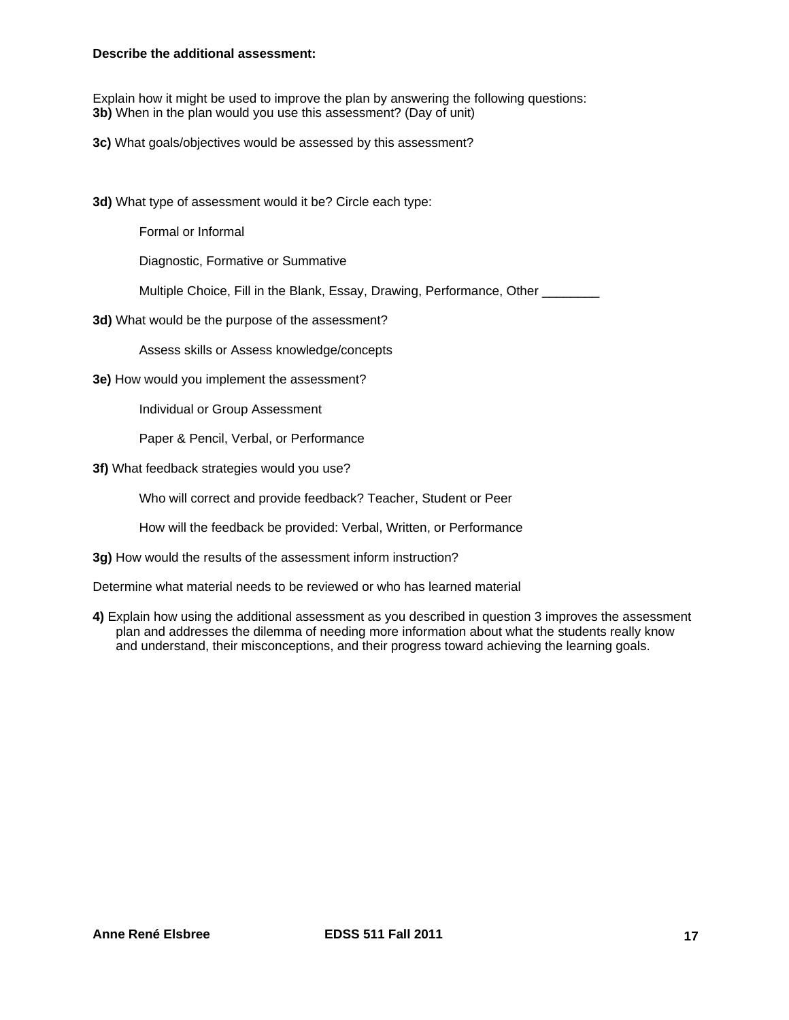#### **Describe the additional assessment:**

Explain how it might be used to improve the plan by answering the following questions: **3b)** When in the plan would you use this assessment? (Day of unit)

**3c)** What goals/objectives would be assessed by this assessment?

**3d)** What type of assessment would it be? Circle each type:

Formal or Informal

Diagnostic, Formative or Summative

Multiple Choice, Fill in the Blank, Essay, Drawing, Performance, Other \_\_\_\_\_\_\_\_

**3d)** What would be the purpose of the assessment?

Assess skills or Assess knowledge/concepts

**3e)** How would you implement the assessment?

Individual or Group Assessment

Paper & Pencil, Verbal, or Performance

#### **3f)** What feedback strategies would you use?

Who will correct and provide feedback? Teacher, Student or Peer

How will the feedback be provided: Verbal, Written, or Performance

**3g)** How would the results of the assessment inform instruction?

Determine what material needs to be reviewed or who has learned material

**4)** Explain how using the additional assessment as you described in question 3 improves the assessment plan and addresses the dilemma of needing more information about what the students really know and understand, their misconceptions, and their progress toward achieving the learning goals.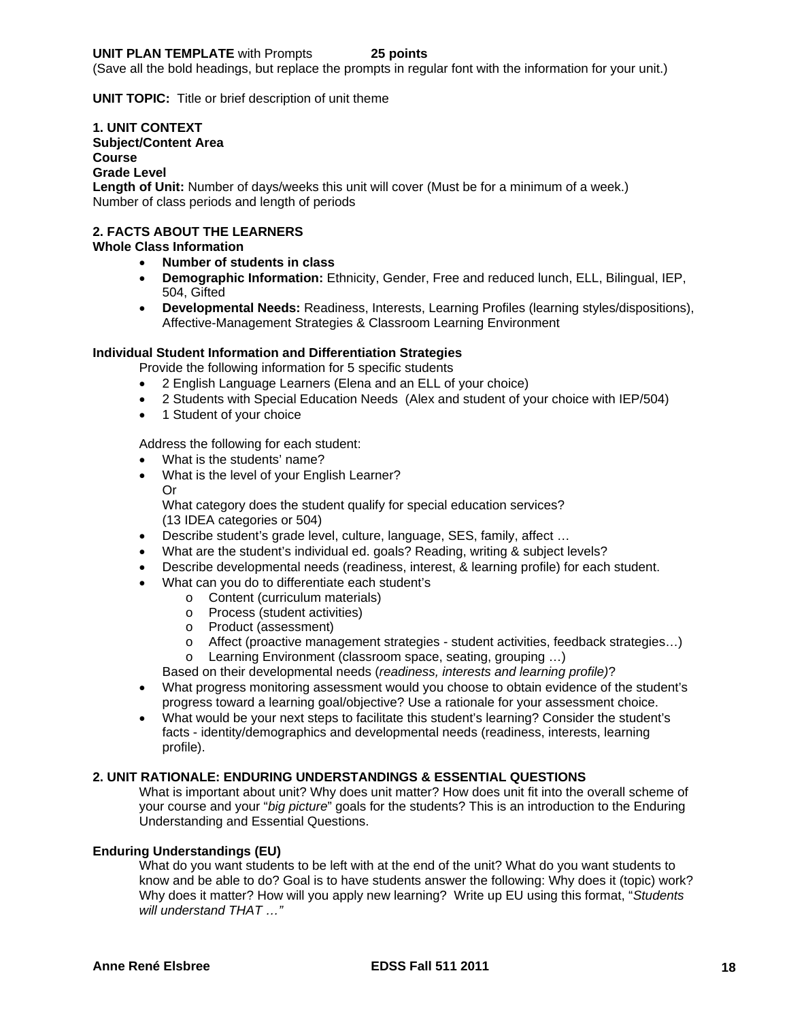#### **UNIT PLAN TEMPLATE** with Prompts **25 points**

(Save all the bold headings, but replace the prompts in regular font with the information for your unit.)

**UNIT TOPIC:** Title or brief description of unit theme

#### **1. UNIT CONTEXT**

Subject/Content Area<br>Course<br>Grade Level

# **Course**<br>Grade Level

 Number of class periods and length of periods **Length of Unit:** Number of days/weeks this unit will cover (Must be for a minimum of a week.)

# **2. FACTS ABOUT THE LEARNERS Whole Class Information**

- **Number of students in class**
- **Demographic Information:** Ethnicity, Gender, Free and reduced lunch, ELL, Bilingual, IEP, 504, Gifted
- **Developmental Needs:** Readiness, Interests, Learning Profiles (learning styles/dispositions), Affective-Management Strategies & Classroom Learning Environment

#### **Individual Student Information and Differentiation Strategies**

Provide the following information for 5 specific students

- 2 English Language Learners (Elena and an ELL of your choice)
- 2 Students with Special Education Needs (Alex and student of your choice with IEP/504)
- 1 Student of your choice

Address the following for each student:

- What is the students' name?
- What is the level of your English Learner? Or What category does the student qualify for special education services? (13 IDEA categories or 504)
- Describe student's grade level, culture, language, SES, family, affect …
- What are the student's individual ed. goals? Reading, writing & subject levels?
- Describe developmental needs (readiness, interest, & learning profile) for each student.
- What can you do to differentiate each student's
	- $\circ$  Content (curriculum materials)
	- o Process (student activities)
	- o Product (assessment)
	- $\circ$  Affect (proactive management strategies student activities, feedback strategies...)
	- o Learning Environment (classroom space, seating, grouping …)

Based on their developmental needs (*readiness, interests and learning profile)*?

- What progress monitoring assessment would you choose to obtain evidence of the student's progress toward a learning goal/objective? Use a rationale for your assessment choice.
- What would be your next steps to facilitate this student's learning? Consider the student's facts - identity/demographics and developmental needs (readiness, interests, learning profile).

#### **2. UNIT RATIONALE: ENDURING UNDERSTANDINGS & ESSENTIAL QUESTIONS**

What is important about unit? Why does unit matter? How does unit fit into the overall scheme of your course and your "*big picture*" goals for the students? This is an introduction to the Enduring Understanding and Essential Questions.

# **Enduring Understandings (EU)**

What do you want students to be left with at the end of the unit? What do you want students to know and be able to do? Goal is to have students answer the following: Why does it (topic) work? Why does it matter? How will you apply new learning? Write up EU using this format, "*Students will understand THAT …"*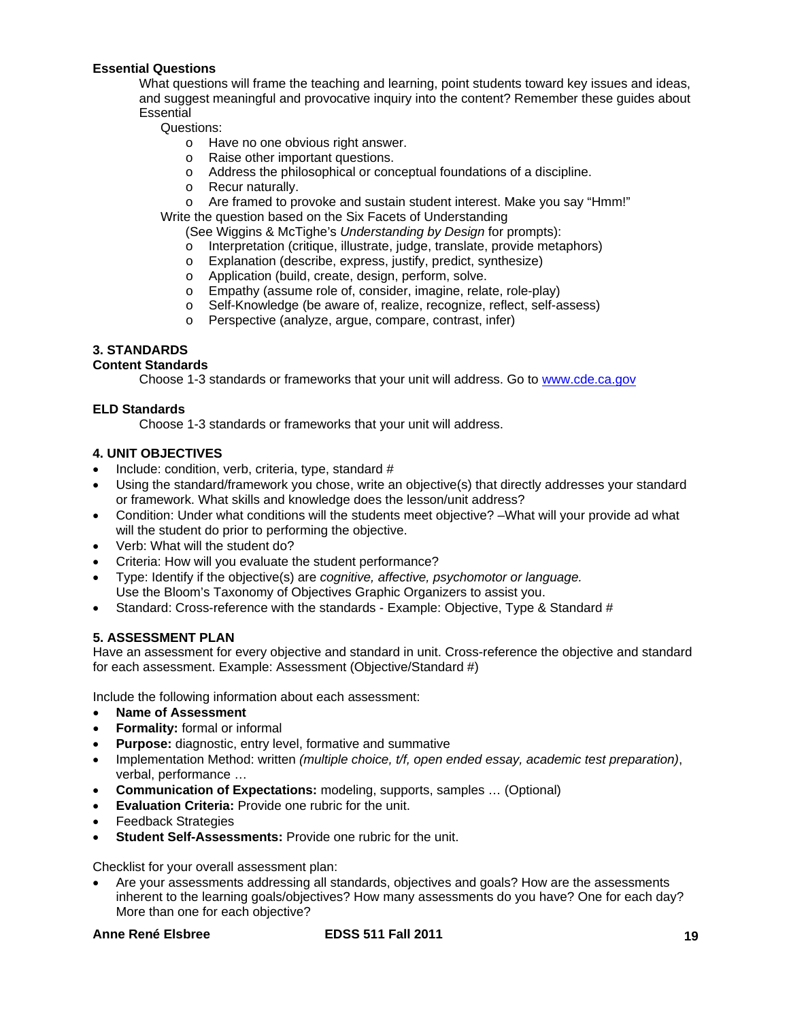### **Essential Questions**

What questions will frame the teaching and learning, point students toward key issues and ideas, and suggest meaningful and provocative inquiry into the content? Remember these guides about **Essential** 

# Questions:

o Have no one obvious right answer.

- o Raise other important questions.
- o Address the philosophical or conceptual foundations of a discipline.
- o Recur naturally.
- o Are framed to provoke and sustain student interest. Make you say "Hmm!"

Write the question based on the Six Facets of Understanding

- (See Wiggins & McTighe's *Understanding by Design* for prompts):
- o Interpretation (critique, illustrate, judge, translate, provide metaphors)
- o Explanation (describe, express, justify, predict, synthesize)
- o Application (build, create, design, perform, solve.
- o Empathy (assume role of, consider, imagine, relate, role-play)<br>
o Self-Knowledge (be aware of, realize, recognize, reflect, self-at
- Self-Knowledge (be aware of, realize, recognize, reflect, self-assess)
- o Perspective (analyze, argue, compare, contrast, infer)

# **3. STANDARDS**

# **Content Standards**

Choose 1-3 standards or frameworks that your unit will address. Go to www.cde.ca.gov

# **ELD Standards**

Choose 1-3 standards or frameworks that your unit will address.

# **4. UNIT OBJECTIVES**

- Include: condition, verb, criteria, type, standard #
- Using the standard/framework you chose, write an objective(s) that directly addresses your standard or framework. What skills and knowledge does the lesson/unit address?
- Condition: Under what conditions will the students meet objective? –What will your provide ad what will the student do prior to performing the objective.
- Verb: What will the student do?
- Criteria: How will you evaluate the student performance?
- Type: Identify if the objective(s) are *cognitive, affective, psychomotor or language.*  Use the Bloom's Taxonomy of Objectives Graphic Organizers to assist you.
- Standard: Cross-reference with the standards Example: Objective, Type & Standard #

#### **5. ASSESSMENT PLAN**

Have an assessment for every objective and standard in unit. Cross-reference the objective and standard for each assessment. Example: Assessment (Objective/Standard #)

Include the following information about each assessment:

- **Name of Assessment**
- **Formality:** formal or informal
- **Purpose:** diagnostic, entry level, formative and summative
- Implementation Method: written *(multiple choice, t/f, open ended essay, academic test preparation)*, verbal, performance …
- **Communication of Expectations:** modeling, supports, samples … (Optional)
- **Evaluation Criteria:** Provide one rubric for the unit.
- Feedback Strategies
- **Student Self-Assessments:** Provide one rubric for the unit.

Checklist for your overall assessment plan:

 Are your assessments addressing all standards, objectives and goals? How are the assessments inherent to the learning goals/objectives? How many assessments do you have? One for each day? More than one for each objective?

# **Anne René Elsbree**

# **Anne René EDSS 511 Fall 2011 19 19**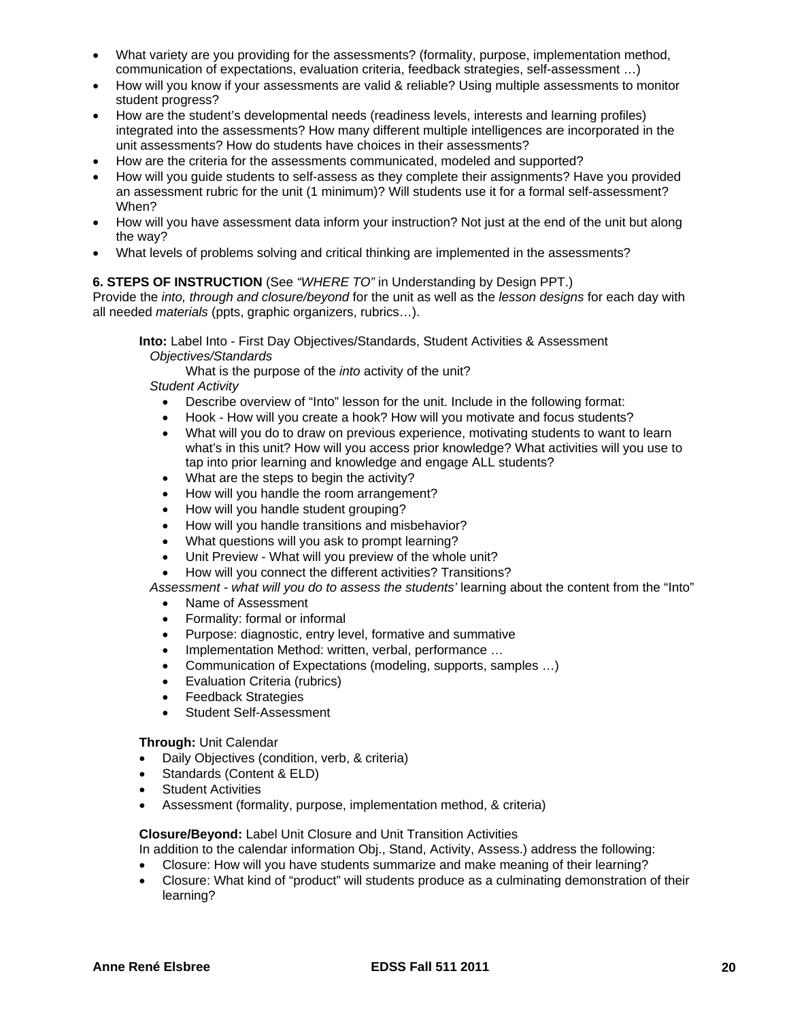- What variety are you providing for the assessments? (formality, purpose, implementation method, communication of expectations, evaluation criteria, feedback strategies, self-assessment …)
- How will you know if your assessments are valid & reliable? Using multiple assessments to monitor student progress?
- How are the student's developmental needs (readiness levels, interests and learning profiles) integrated into the assessments? How many different multiple intelligences are incorporated in the unit assessments? How do students have choices in their assessments?
- How are the criteria for the assessments communicated, modeled and supported?
- How will you guide students to self-assess as they complete their assignments? Have you provided an assessment rubric for the unit (1 minimum)? Will students use it for a formal self-assessment? When?
- How will you have assessment data inform your instruction? Not just at the end of the unit but along the way?
- What levels of problems solving and critical thinking are implemented in the assessments?

# **6. STEPS OF INSTRUCTION** (See *"WHERE TO"* in Understanding by Design PPT.)

Provide the *into, through and closure/beyond* for the unit as well as the *lesson designs* for each day with all needed *materials* (ppts, graphic organizers, rubrics…).

 **Into:** Label Into - First Day Objectives/Standards, Student Activities & Assessment  *Objectives/Standards* 

What is the purpose of the *into* activity of the unit?

*Student Activity* 

- Describe overview of "Into" lesson for the unit. Include in the following format:
- Hook How will you create a hook? How will you motivate and focus students?
- What will you do to draw on previous experience, motivating students to want to learn what's in this unit? How will you access prior knowledge? What activities will you use to tap into prior learning and knowledge and engage ALL students?
- What are the steps to begin the activity?
- How will you handle the room arrangement?
- How will you handle student grouping?
- How will you handle transitions and misbehavior?
- What questions will you ask to prompt learning?
- Unit Preview What will you preview of the whole unit?
- How will you connect the different activities? Transitions?

Assessment - what will you do to assess the students' learning about the content from the "Into"

- Name of Assessment
- Formality: formal or informal
- Purpose: diagnostic, entry level, formative and summative
- Implementation Method: written, verbal, performance ...
- Communication of Expectations (modeling, supports, samples …)
- Evaluation Criteria (rubrics)
- Feedback Strategies
- Student Self-Assessment

**Through:** Unit Calendar

- Daily Objectives (condition, verb, & criteria)
- Standards (Content & ELD)
- Student Activities
- Assessment (formality, purpose, implementation method, & criteria)

**Closure/Beyond:** Label Unit Closure and Unit Transition Activities

In addition to the calendar information Obj., Stand, Activity, Assess.) address the following:

- Closure: How will you have students summarize and make meaning of their learning?
- Closure: What kind of "product" will students produce as a culminating demonstration of their learning?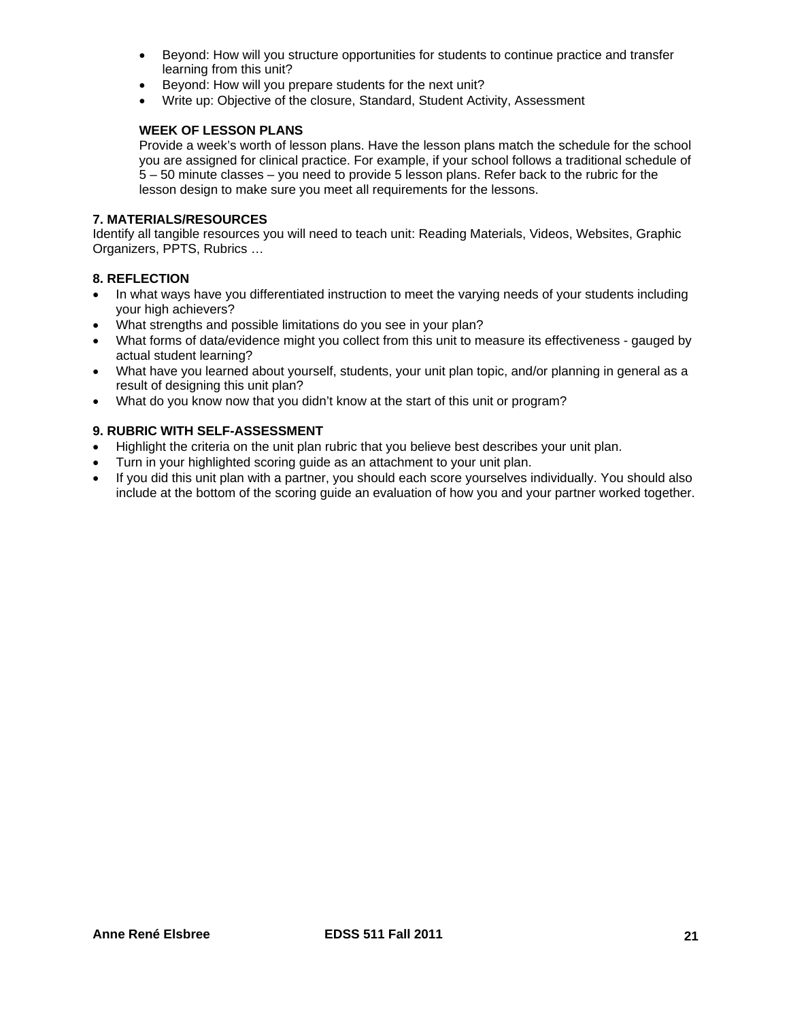- Beyond: How will you structure opportunities for students to continue practice and transfer learning from this unit?
- Beyond: How will you prepare students for the next unit?
- Write up: Objective of the closure, Standard, Student Activity, Assessment

# **WEEK OF LESSON PLANS**

Provide a week's worth of lesson plans. Have the lesson plans match the schedule for the school you are assigned for clinical practice. For example, if your school follows a traditional schedule of 5 – 50 minute classes – you need to provide 5 lesson plans. Refer back to the rubric for the lesson design to make sure you meet all requirements for the lessons.

# **7. MATERIALS/RESOURCES**

Identify all tangible resources you will need to teach unit: Reading Materials, Videos, Websites, Graphic Organizers, PPTS, Rubrics …

# **8. REFLECTION**

- In what ways have you differentiated instruction to meet the varying needs of your students including your high achievers?
- What strengths and possible limitations do you see in your plan?
- actual student learning? What forms of data/evidence might you collect from this unit to measure its effectiveness - gauged by
- What have you learned about yourself, students, your unit plan topic, and/or planning in general as a result of designing this unit plan?
- What do you know now that you didn't know at the start of this unit or program?

# **9. RUBRIC WITH SELF-ASSESSMENT**

- Highlight the criteria on the unit plan rubric that you believe best describes your unit plan.
- Turn in your highlighted scoring guide as an attachment to your unit plan.
- If you did this unit plan with a partner, you should each score yourselves individually. You should also include at the bottom of the scoring guide an evaluation of how you and your partner worked together.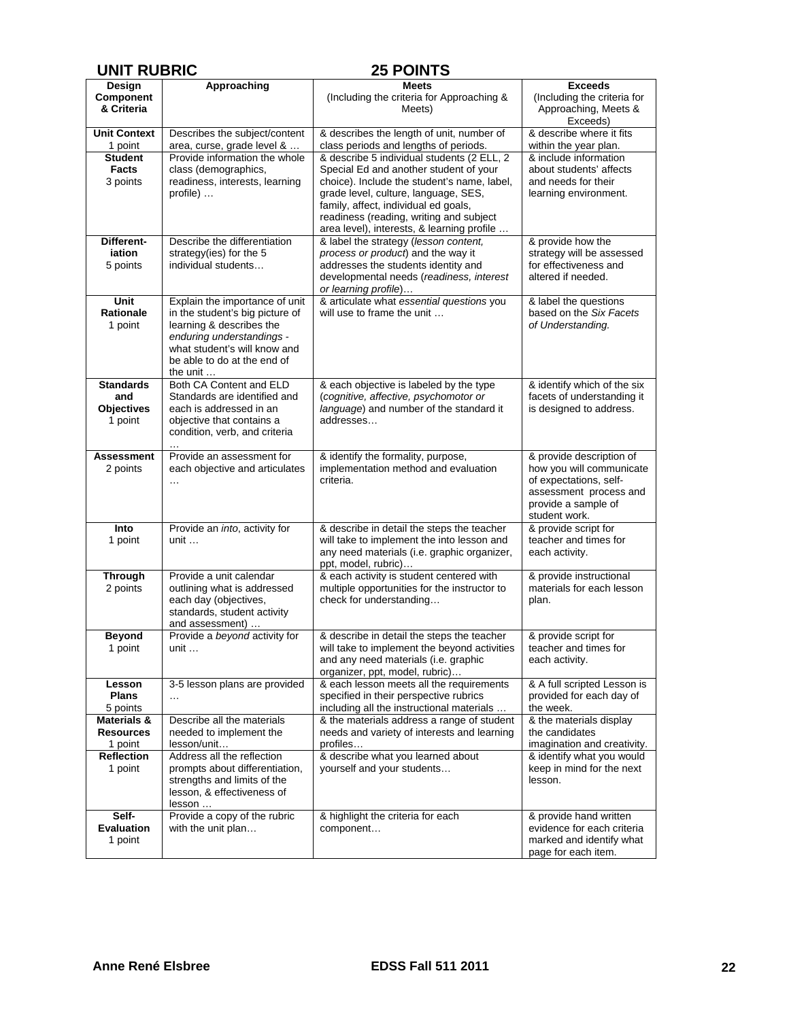| <b>UNIT RUBRIC</b>                                      |                                                                                                                                                                                                       | <b>25 POINTS</b>                                                                                                                                                                                                                                               |                                                                                                                                                  |
|---------------------------------------------------------|-------------------------------------------------------------------------------------------------------------------------------------------------------------------------------------------------------|----------------------------------------------------------------------------------------------------------------------------------------------------------------------------------------------------------------------------------------------------------------|--------------------------------------------------------------------------------------------------------------------------------------------------|
| Design                                                  | Approaching                                                                                                                                                                                           | <b>Meets</b>                                                                                                                                                                                                                                                   | <b>Exceeds</b>                                                                                                                                   |
| Component<br>& Criteria                                 |                                                                                                                                                                                                       | (Including the criteria for Approaching &<br>Meets)                                                                                                                                                                                                            | (Including the criteria for<br>Approaching, Meets &<br>Exceeds)                                                                                  |
| <b>Unit Context</b><br>1 point                          | Describes the subject/content<br>area, curse, grade level &                                                                                                                                           | & describes the length of unit, number of<br>class periods and lengths of periods.                                                                                                                                                                             | & describe where it fits<br>within the year plan.                                                                                                |
| <b>Student</b>                                          | Provide information the whole                                                                                                                                                                         | & describe 5 individual students (2 ELL, 2                                                                                                                                                                                                                     | & include information                                                                                                                            |
| <b>Facts</b><br>3 points                                | class (demographics,<br>readiness, interests, learning<br>profile)                                                                                                                                    | Special Ed and another student of your<br>choice). Include the student's name, label,<br>grade level, culture, language, SES,<br>family, affect, individual ed goals,<br>readiness (reading, writing and subject<br>area level), interests, & learning profile | about students' affects<br>and needs for their<br>learning environment.                                                                          |
| Different-<br>iation<br>5 points                        | Describe the differentiation<br>strategy(ies) for the 5<br>individual students                                                                                                                        | & label the strategy (lesson content,<br>process or product) and the way it<br>addresses the students identity and<br>developmental needs (readiness, interest<br>or learning profile)                                                                         | & provide how the<br>strategy will be assessed<br>for effectiveness and<br>altered if needed.                                                    |
| <b>Unit</b><br><b>Rationale</b><br>1 point              | Explain the importance of unit<br>in the student's big picture of<br>learning & describes the<br>enduring understandings -<br>what student's will know and<br>be able to do at the end of<br>the unit | & articulate what essential questions you<br>will use to frame the unit                                                                                                                                                                                        | & label the questions<br>based on the Six Facets<br>of Understanding.                                                                            |
| <b>Standards</b><br>and<br><b>Objectives</b><br>1 point | Both CA Content and ELD<br>Standards are identified and<br>each is addressed in an<br>objective that contains a<br>condition, verb, and criteria<br>$\cdots$                                          | & each objective is labeled by the type<br>(cognitive, affective, psychomotor or<br>language) and number of the standard it<br>addresses                                                                                                                       | & identify which of the six<br>facets of understanding it<br>is designed to address.                                                             |
| <b>Assessment</b><br>2 points                           | Provide an assessment for<br>each objective and articulates<br>$\cdots$                                                                                                                               | & identify the formality, purpose,<br>implementation method and evaluation<br>criteria.                                                                                                                                                                        | & provide description of<br>how you will communicate<br>of expectations, self-<br>assessment process and<br>provide a sample of<br>student work. |
| Into<br>1 point                                         | Provide an into, activity for<br>unit $\dots$                                                                                                                                                         | & describe in detail the steps the teacher<br>will take to implement the into lesson and<br>any need materials (i.e. graphic organizer,<br>ppt, model, rubric)                                                                                                 | & provide script for<br>teacher and times for<br>each activity.                                                                                  |
| Through<br>2 points                                     | Provide a unit calendar<br>outlining what is addressed<br>each day (objectives,<br>standards, student activity<br>and assessment)                                                                     | & each activity is student centered with<br>multiple opportunities for the instructor to<br>check for understanding                                                                                                                                            | & provide instructional<br>materials for each lesson<br>plan.                                                                                    |
| <b>Beyond</b><br>1 point                                | Provide a beyond activity for<br>unit $\dots$                                                                                                                                                         | & describe in detail the steps the teacher<br>will take to implement the beyond activities<br>and any need materials (i.e. graphic<br>organizer, ppt, model, rubric)                                                                                           | & provide script for<br>teacher and times for<br>each activity.                                                                                  |
| Lesson<br><b>Plans</b><br>5 points                      | 3-5 lesson plans are provided<br>$\cdots$                                                                                                                                                             | & each lesson meets all the requirements<br>specified in their perspective rubrics<br>including all the instructional materials                                                                                                                                | & A full scripted Lesson is<br>provided for each day of<br>the week.                                                                             |
| <b>Materials &amp;</b><br><b>Resources</b><br>1 point   | Describe all the materials<br>needed to implement the<br>lesson/unit                                                                                                                                  | & the materials address a range of student<br>needs and variety of interests and learning<br>profiles                                                                                                                                                          | & the materials display<br>the candidates<br>imagination and creativity.                                                                         |
| <b>Reflection</b><br>1 point                            | Address all the reflection<br>prompts about differentiation,<br>strengths and limits of the<br>lesson, & effectiveness of<br>lesson                                                                   | & describe what you learned about<br>yourself and your students                                                                                                                                                                                                | & identify what you would<br>keep in mind for the next<br>lesson.                                                                                |
| Self-<br>Evaluation<br>1 point                          | Provide a copy of the rubric<br>with the unit plan                                                                                                                                                    | & highlight the criteria for each<br>component                                                                                                                                                                                                                 | & provide hand written<br>evidence for each criteria<br>marked and identify what<br>page for each item.                                          |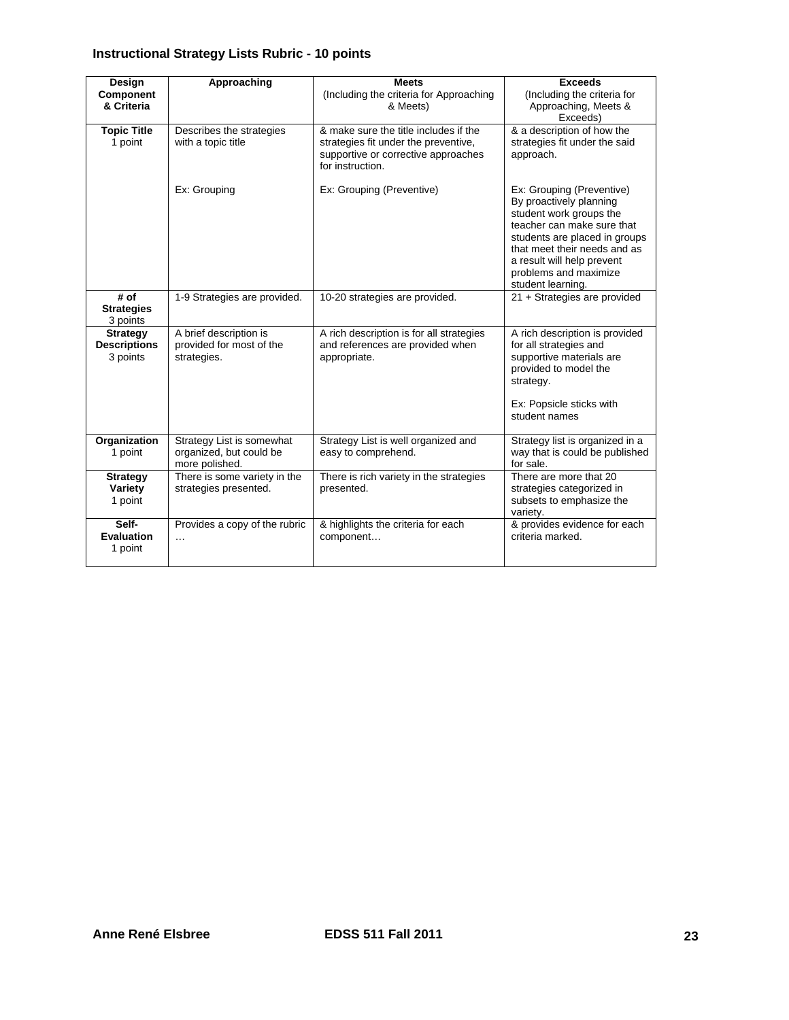# **Instructional Strategy Lists Rubric - 10 points**

| Design                                             | Approaching                                                            | <b>Meets</b>                                                                                                                             | <b>Exceeds</b>                                                                                                                                                                                                                                             |
|----------------------------------------------------|------------------------------------------------------------------------|------------------------------------------------------------------------------------------------------------------------------------------|------------------------------------------------------------------------------------------------------------------------------------------------------------------------------------------------------------------------------------------------------------|
| Component<br>& Criteria                            |                                                                        | (Including the criteria for Approaching<br>& Meets)                                                                                      | (Including the criteria for<br>Approaching, Meets &<br>Exceeds)                                                                                                                                                                                            |
| <b>Topic Title</b><br>1 point                      | Describes the strategies<br>with a topic title                         | & make sure the title includes if the<br>strategies fit under the preventive,<br>supportive or corrective approaches<br>for instruction. | & a description of how the<br>strategies fit under the said<br>approach.                                                                                                                                                                                   |
|                                                    | Ex: Grouping                                                           | Ex: Grouping (Preventive)                                                                                                                | Ex: Grouping (Preventive)<br>By proactively planning<br>student work groups the<br>teacher can make sure that<br>students are placed in groups<br>that meet their needs and as<br>a result will help prevent<br>problems and maximize<br>student learning. |
| # of<br><b>Strategies</b><br>3 points              | 1-9 Strategies are provided.                                           | 10-20 strategies are provided.                                                                                                           | 21 + Strategies are provided                                                                                                                                                                                                                               |
| <b>Strategy</b><br><b>Descriptions</b><br>3 points | A brief description is<br>provided for most of the<br>strategies.      | A rich description is for all strategies<br>and references are provided when<br>appropriate.                                             | A rich description is provided<br>for all strategies and<br>supportive materials are<br>provided to model the<br>strategy.<br>Ex: Popsicle sticks with<br>student names                                                                                    |
| Organization<br>1 point                            | Strategy List is somewhat<br>organized, but could be<br>more polished. | Strategy List is well organized and<br>easy to comprehend.                                                                               | Strategy list is organized in a<br>way that is could be published<br>for sale.                                                                                                                                                                             |
| <b>Strategy</b><br>Variety<br>1 point              | There is some variety in the<br>strategies presented.                  | There is rich variety in the strategies<br>presented.                                                                                    | There are more that 20<br>strategies categorized in<br>subsets to emphasize the<br>variety.                                                                                                                                                                |
| Self-<br><b>Evaluation</b><br>1 point              | Provides a copy of the rubric<br>$\cdots$                              | & highlights the criteria for each<br>component                                                                                          | & provides evidence for each<br>criteria marked.                                                                                                                                                                                                           |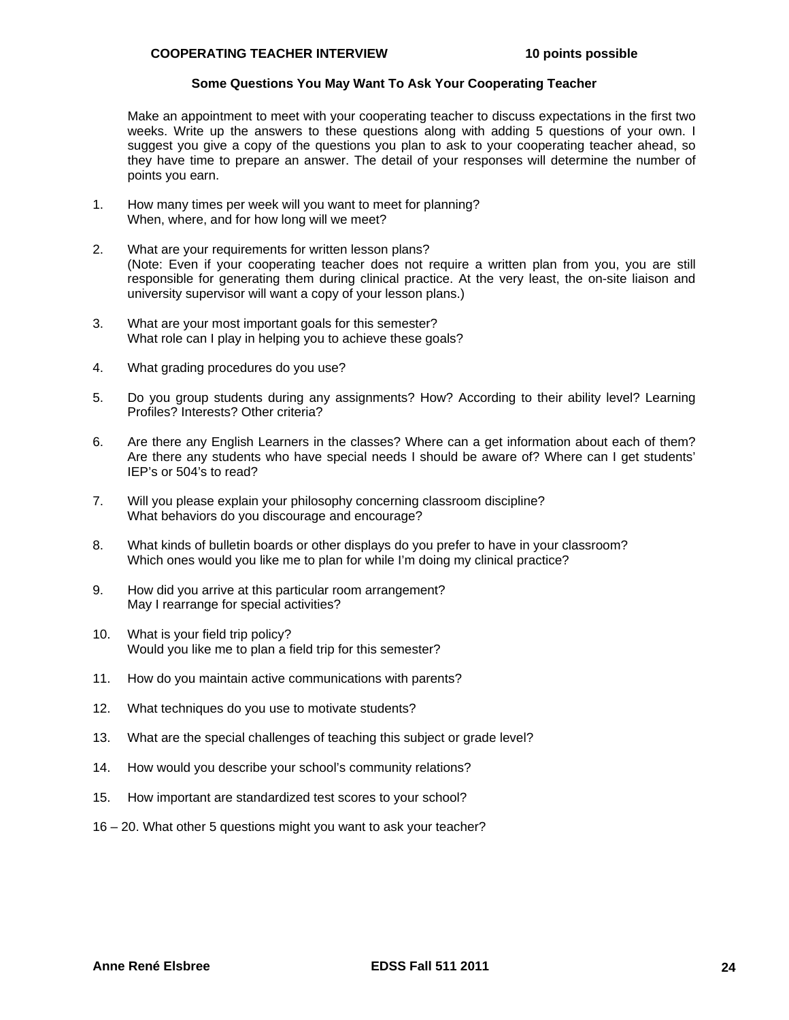#### **Some Questions You May Want To Ask Your Cooperating Teacher**

Make an appointment to meet with your cooperating teacher to discuss expectations in the first two weeks. Write up the answers to these questions along with adding 5 questions of your own. I suggest you give a copy of the questions you plan to ask to your cooperating teacher ahead, so they have time to prepare an answer. The detail of your responses will determine the number of points you earn.

- 1. How many times per week will you want to meet for planning? When, where, and for how long will we meet?
- What are your requirements for written lesson plans? 2. What are your requirements for written lesson plans? (Note: Even if your cooperating teacher does not require a written plan from you, you are still responsible for generating them during clinical practice. At the very least, the on-site liaison and university supervisor will want a copy of your lesson plans.)
- 3. What are your most important goals for this semester? What role can I play in helping you to achieve these goals?
- 4. What grading procedures do you use?
- 5. Do you group students during any assignments? How? According to their ability level? Learning Profiles? Interests? Other criteria?
- 6. Are there any English Learners in the classes? Where can a get information about each of them? Are there any students who have special needs I should be aware of? Where can I get students' IEP's or 504's to read?
- 7. Will you please explain your philosophy concerning classroom discipline? What behaviors do you discourage and encourage?
- 8. What kinds of bulletin boards or other displays do you prefer to have in your classroom? Which ones would you like me to plan for while I'm doing my clinical practice?
- 9. How did you arrive at this particular room arrangement? May I rearrange for special activities?
- 10. What is your field trip policy? Would you like me to plan a field trip for this semester?
- 11. How do you maintain active communications with parents?
- 12. What techniques do you use to motivate students?
- 13. What are the special challenges of teaching this subject or grade level?
- 14. How would you describe your school's community relations?
- 15. How important are standardized test scores to your school?
- 16 20. What other 5 questions might you want to ask your teacher?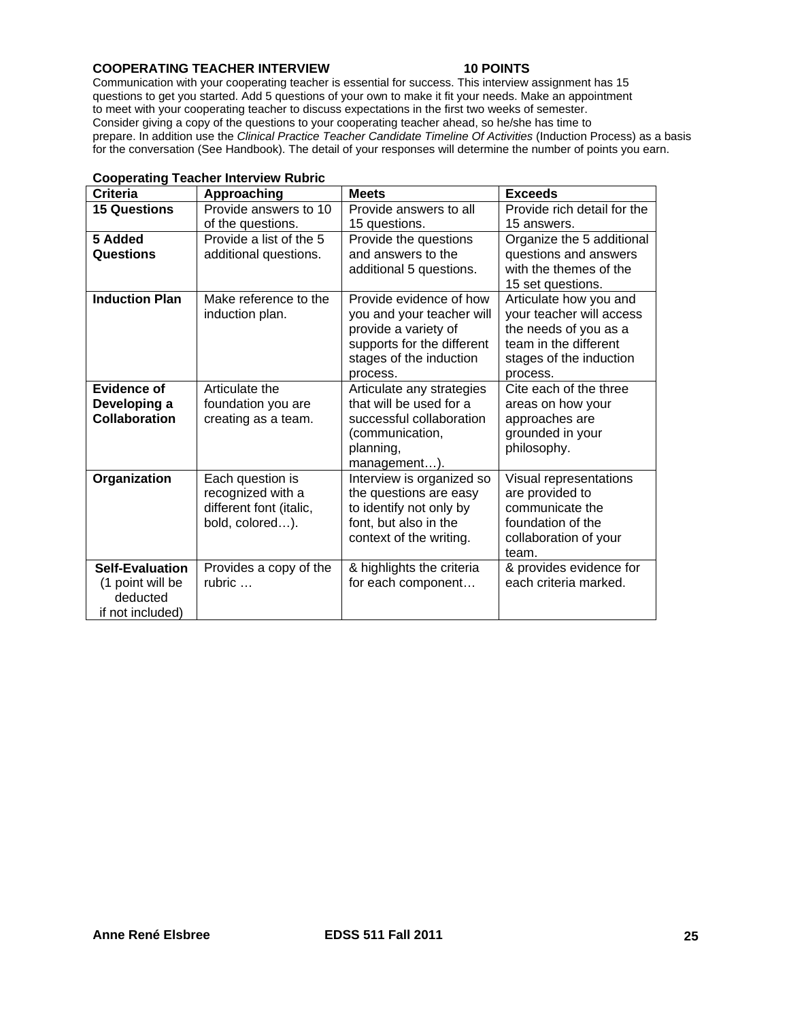# **COOPERATING TEACHER INTERVIEW 10 POINTS**

 Communication with your cooperating teacher is essential for success. This interview assignment has 15 questions to get you started. Add 5 questions of your own to make it fit your needs. Make an appointment to meet with your cooperating teacher to discuss expectations in the first two weeks of semester. Consider giving a copy of the questions to your cooperating teacher ahead, so he/she has time to prepare. In addition use the *Clinical Practice Teacher Candidate Timeline Of Activities* (Induction Process) as a basis for the conversation (See Handbook). The detail of your responses will determine the number of points you earn.

| sooporuuriy            | <b>TUBE THIS THE THE TUBE T</b> |                            |                             |
|------------------------|---------------------------------|----------------------------|-----------------------------|
| <b>Criteria</b>        | Approaching                     | <b>Meets</b>               | <b>Exceeds</b>              |
| <b>15 Questions</b>    | Provide answers to 10           | Provide answers to all     | Provide rich detail for the |
|                        | of the questions.               | 15 questions.              | 15 answers.                 |
| 5 Added                | Provide a list of the 5         | Provide the questions      | Organize the 5 additional   |
| Questions              | additional questions.           | and answers to the         | questions and answers       |
|                        |                                 | additional 5 questions.    | with the themes of the      |
|                        |                                 |                            | 15 set questions.           |
| <b>Induction Plan</b>  | Make reference to the           | Provide evidence of how    | Articulate how you and      |
|                        | induction plan.                 | you and your teacher will  | your teacher will access    |
|                        |                                 | provide a variety of       | the needs of you as a       |
|                        |                                 | supports for the different | team in the different       |
|                        |                                 | stages of the induction    | stages of the induction     |
|                        |                                 | process.                   | process.                    |
| Evidence of            | Articulate the                  | Articulate any strategies  | Cite each of the three      |
| Developing a           | foundation you are              | that will be used for a    | areas on how your           |
| <b>Collaboration</b>   | creating as a team.             | successful collaboration   | approaches are              |
|                        |                                 | (communication,            | grounded in your            |
|                        |                                 | planning,                  | philosophy.                 |
|                        |                                 | management).               |                             |
| Organization           | Each question is                | Interview is organized so  | Visual representations      |
|                        | recognized with a               | the questions are easy     | are provided to             |
|                        | different font (italic,         | to identify not only by    | communicate the             |
|                        | bold, colored).                 | font, but also in the      | foundation of the           |
|                        |                                 | context of the writing.    | collaboration of your       |
|                        |                                 |                            | team.                       |
| <b>Self-Evaluation</b> | Provides a copy of the          | & highlights the criteria  | & provides evidence for     |
| (1 point will be       | rubric $\dots$                  | for each component         | each criteria marked.       |
| deducted               |                                 |                            |                             |
| if not included)       |                                 |                            |                             |

#### **Cooperating Teacher Interview Rubric**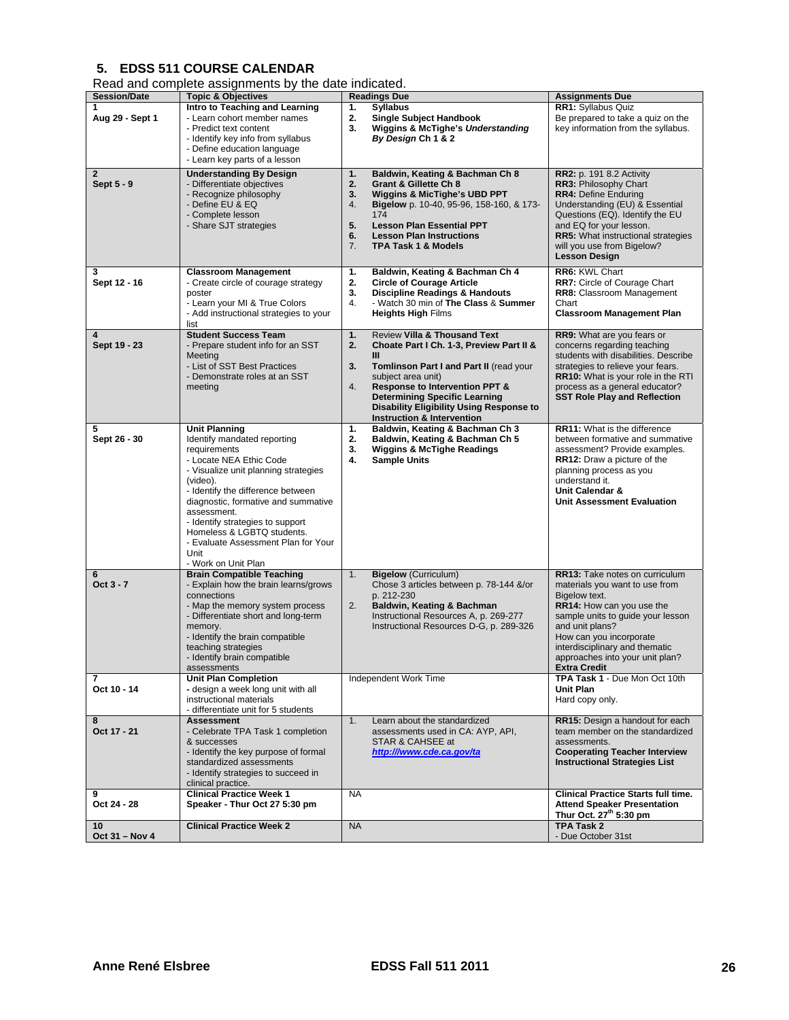# **5. EDSS 511 COURSE CALENDAR**

|  | Read and complete assignments by the date indicated. |  |  |
|--|------------------------------------------------------|--|--|
|  |                                                      |  |  |

|                                             | road and complete accigmments by the date indicated.                                                                                                                                                                                                                                                                                                                                  |                                                                                                                                                                                                                                                                                                                                                  |                                                                                                                                                                                                                                                                                            |
|---------------------------------------------|---------------------------------------------------------------------------------------------------------------------------------------------------------------------------------------------------------------------------------------------------------------------------------------------------------------------------------------------------------------------------------------|--------------------------------------------------------------------------------------------------------------------------------------------------------------------------------------------------------------------------------------------------------------------------------------------------------------------------------------------------|--------------------------------------------------------------------------------------------------------------------------------------------------------------------------------------------------------------------------------------------------------------------------------------------|
| <b>Session/Date</b><br>1<br>Aug 29 - Sept 1 | <b>Topic &amp; Objectives</b><br>Intro to Teaching and Learning<br>- Learn cohort member names<br>- Predict text content<br>- Identify key info from syllabus<br>- Define education language<br>- Learn key parts of a lesson                                                                                                                                                         | <b>Readings Due</b><br><b>Syllabus</b><br>1.<br>2.<br><b>Single Subject Handbook</b><br>3.<br><b>Wiggins &amp; McTighe's Understanding</b><br>By Design Ch 1 & 2                                                                                                                                                                                 | <b>Assignments Due</b><br>RR1: Syllabus Quiz<br>Be prepared to take a quiz on the<br>key information from the syllabus.                                                                                                                                                                    |
| $\mathbf{2}$<br>Sept 5 - 9                  | <b>Understanding By Design</b><br>- Differentiate objectives<br>- Recognize philosophy<br>- Define EU & EQ<br>- Complete lesson<br>- Share SJT strategies                                                                                                                                                                                                                             | Baldwin, Keating & Bachman Ch 8<br>1.<br>2.<br>Grant & Gillette Ch 8<br><b>Wiggins &amp; MicTighe's UBD PPT</b><br>3.<br>4.<br>Bigelow p. 10-40, 95-96, 158-160, & 173-<br>174<br>5.<br><b>Lesson Plan Essential PPT</b><br>6.<br><b>Lesson Plan Instructions</b><br>7.<br>TPA Task 1 & Models                                                   | <b>RR2: p. 191 8.2 Activity</b><br>RR3: Philosophy Chart<br><b>RR4: Define Enduring</b><br>Understanding (EU) & Essential<br>Questions (EQ). Identify the EU<br>and EQ for your lesson.<br><b>RR5:</b> What instructional strategies<br>will you use from Bigelow?<br><b>Lesson Design</b> |
| 3<br>Sept 12 - 16                           | <b>Classroom Management</b><br>- Create circle of courage strategy<br>poster<br>- Learn your MI & True Colors<br>- Add instructional strategies to your<br>list                                                                                                                                                                                                                       | Baldwin, Keating & Bachman Ch 4<br>1.<br>2.<br><b>Circle of Courage Article</b><br>3.<br><b>Discipline Readings &amp; Handouts</b><br>4.<br>- Watch 30 min of The Class & Summer<br><b>Heights High Films</b>                                                                                                                                    | RR6: KWL Chart<br><b>RR7:</b> Circle of Courage Chart<br>RR8: Classroom Management<br>Chart<br><b>Classroom Management Plan</b>                                                                                                                                                            |
| 4<br>Sept 19 - 23                           | <b>Student Success Team</b><br>- Prepare student info for an SST<br>Meeting<br>- List of SST Best Practices<br>- Demonstrate roles at an SST<br>meeting                                                                                                                                                                                                                               | <b>Review Villa &amp; Thousand Text</b><br>1.<br>2.<br>Choate Part I Ch. 1-3, Preview Part II &<br>Ш<br>3.<br>Tomlinson Part I and Part II (read your<br>subject area unit)<br>Response to Intervention PPT &<br>4.<br><b>Determining Specific Learning</b><br>Disability Eligibility Using Response to<br><b>Instruction &amp; Intervention</b> | RR9: What are you fears or<br>concerns regarding teaching<br>students with disabilities. Describe<br>strategies to relieve your fears.<br>RR10: What is your role in the RTI<br>process as a general educator?<br><b>SST Role Play and Reflection</b>                                      |
| 5<br>Sept 26 - 30                           | <b>Unit Planning</b><br>Identify mandated reporting<br>requirements<br>- Locate NEA Ethic Code<br>- Visualize unit planning strategies<br>(video).<br>- Identify the difference between<br>diagnostic, formative and summative<br>assessment.<br>- Identify strategies to support<br>Homeless & LGBTQ students.<br>- Evaluate Assessment Plan for Your<br>Unit<br>- Work on Unit Plan | Baldwin, Keating & Bachman Ch 3<br>1.<br>2.<br>Baldwin, Keating & Bachman Ch 5<br><b>Wiggins &amp; McTighe Readings</b><br>3.<br>4.<br><b>Sample Units</b>                                                                                                                                                                                       | RR11: What is the difference<br>between formative and summative<br>assessment? Provide examples.<br><b>RR12:</b> Draw a picture of the<br>planning process as you<br>understand it.<br>Unit Calendar &<br><b>Unit Assessment Evaluation</b>                                                |
| 6<br>Oct 3 - 7                              | <b>Brain Compatible Teaching</b><br>- Explain how the brain learns/grows<br>connections<br>- Map the memory system process<br>- Differentiate short and long-term<br>memory.<br>- Identify the brain compatible<br>teaching strategies<br>- Identify brain compatible<br>assessments                                                                                                  | <b>Bigelow</b> (Curriculum)<br>1.<br>Chose 3 articles between p. 78-144 &/or<br>p. 212-230<br>2.<br>Baldwin, Keating & Bachman<br>Instructional Resources A, p. 269-277<br>Instructional Resources D-G, p. 289-326                                                                                                                               | RR13: Take notes on curriculum<br>materials you want to use from<br>Bigelow text.<br>RR14: How can you use the<br>sample units to guide your lesson<br>and unit plans?<br>How can you incorporate<br>interdisciplinary and thematic<br>approaches into your unit plan?<br>Extra Credit     |
| 7<br>Oct 10 - 14                            | <b>Unit Plan Completion</b><br>- design a week long unit with all<br>instructional materials<br>- differentiate unit for 5 students                                                                                                                                                                                                                                                   | Independent Work Time                                                                                                                                                                                                                                                                                                                            | TPA Task 1 - Due Mon Oct 10th<br><b>Unit Plan</b><br>Hard copy only.                                                                                                                                                                                                                       |
| 8<br>Oct 17 - 21                            | <b>Assessment</b><br>- Celebrate TPA Task 1 completion<br>& successes<br>- Identify the key purpose of formal<br>standardized assessments<br>- Identify strategies to succeed in<br>clinical practice.                                                                                                                                                                                | 1.<br>Learn about the standardized<br>assessments used in CA: AYP, API,<br>STAR & CAHSEE at<br>http:///www.cde.ca.gov/ta                                                                                                                                                                                                                         | RR15: Design a handout for each<br>team member on the standardized<br>assessments.<br><b>Cooperating Teacher Interview</b><br><b>Instructional Strategies List</b>                                                                                                                         |
| 9<br>Oct 24 - 28<br>10                      | <b>Clinical Practice Week 1</b><br>Speaker - Thur Oct 27 5:30 pm<br><b>Clinical Practice Week 2</b>                                                                                                                                                                                                                                                                                   | <b>NA</b><br><b>NA</b>                                                                                                                                                                                                                                                                                                                           | <b>Clinical Practice Starts full time.</b><br><b>Attend Speaker Presentation</b><br>Thur Oct. 27 <sup>th</sup> 5:30 pm<br><b>TPA Task 2</b>                                                                                                                                                |
| Oct 31 - Nov 4                              |                                                                                                                                                                                                                                                                                                                                                                                       |                                                                                                                                                                                                                                                                                                                                                  | - Due October 31st                                                                                                                                                                                                                                                                         |